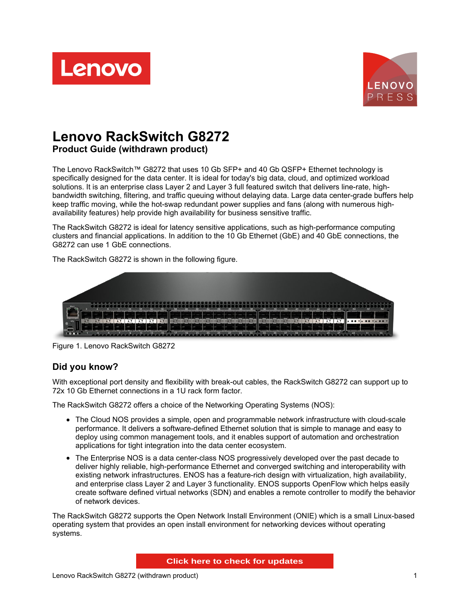



# **Lenovo RackSwitch G8272**

**Product Guide (withdrawn product)**

The Lenovo RackSwitch™ G8272 that uses 10 Gb SFP+ and 40 Gb QSFP+ Ethernet technology is specifically designed for the data center. It is ideal for today's big data, cloud, and optimized workload solutions. It is an enterprise class Layer 2 and Layer 3 full featured switch that delivers line-rate, highbandwidth switching, filtering, and traffic queuing without delaying data. Large data center-grade buffers help keep traffic moving, while the hot-swap redundant power supplies and fans (along with numerous highavailability features) help provide high availability for business sensitive traffic.

The RackSwitch G8272 is ideal for latency sensitive applications, such as high-performance computing clusters and financial applications. In addition to the 10 Gb Ethernet (GbE) and 40 GbE connections, the G8272 can use 1 GbE connections.

The RackSwitch G8272 is shown in the following figure.



Figure 1. Lenovo RackSwitch G8272

#### **Did you know?**

With exceptional port density and flexibility with break-out cables, the RackSwitch G8272 can support up to 72x 10 Gb Ethernet connections in a 1U rack form factor.

The RackSwitch G8272 offers a choice of the Networking Operating Systems (NOS):

- The Cloud NOS provides a simple, open and programmable network infrastructure with cloud-scale performance. It delivers a software-defined Ethernet solution that is simple to manage and easy to deploy using common management tools, and it enables support of automation and orchestration applications for tight integration into the data center ecosystem.
- The Enterprise NOS is a data center-class NOS progressively developed over the past decade to deliver highly reliable, high-performance Ethernet and converged switching and interoperability with existing network infrastructures. ENOS has a feature-rich design with virtualization, high availability, and enterprise class Layer 2 and Layer 3 functionality. ENOS supports OpenFlow which helps easily create software defined virtual networks (SDN) and enables a remote controller to modify the behavior of network devices.

The RackSwitch G8272 supports the Open Network Install Environment (ONIE) which is a small Linux-based operating system that provides an open install environment for networking devices without operating systems.

**Click here to check for updates**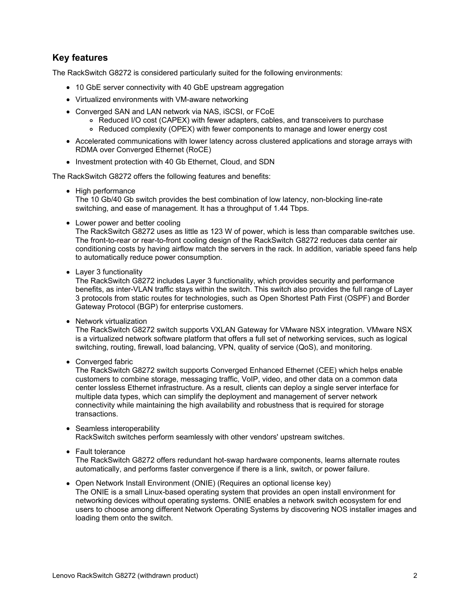## **Key features**

The RackSwitch G8272 is considered particularly suited for the following environments:

- 10 GbE server connectivity with 40 GbE upstream aggregation
- Virtualized environments with VM-aware networking
- Converged SAN and LAN network via NAS, iSCSI, or FCoE
	- Reduced I/O cost (CAPEX) with fewer adapters, cables, and transceivers to purchase
	- Reduced complexity (OPEX) with fewer components to manage and lower energy cost
- Accelerated communications with lower latency across clustered applications and storage arrays with RDMA over Converged Ethernet (RoCE)
- Investment protection with 40 Gb Ethernet, Cloud, and SDN

The RackSwitch G8272 offers the following features and benefits:

• High performance

The 10 Gb/40 Gb switch provides the best combination of low latency, non-blocking line-rate switching, and ease of management. It has a throughput of 1.44 Tbps.

• Lower power and better cooling

The RackSwitch G8272 uses as little as 123 W of power, which is less than comparable switches use. The front-to-rear or rear-to-front cooling design of the RackSwitch G8272 reduces data center air conditioning costs by having airflow match the servers in the rack. In addition, variable speed fans help to automatically reduce power consumption.

• Layer 3 functionality

The RackSwitch G8272 includes Layer 3 functionality, which provides security and performance benefits, as inter-VLAN traffic stays within the switch. This switch also provides the full range of Layer 3 protocols from static routes for technologies, such as Open Shortest Path First (OSPF) and Border Gateway Protocol (BGP) for enterprise customers.

• Network virtualization

The RackSwitch G8272 switch supports VXLAN Gateway for VMware NSX integration. VMware NSX is a virtualized network software platform that offers a full set of networking services, such as logical switching, routing, firewall, load balancing, VPN, quality of service (QoS), and monitoring.

Converged fabric

The RackSwitch G8272 switch supports Converged Enhanced Ethernet (CEE) which helps enable customers to combine storage, messaging traffic, VoIP, video, and other data on a common data center lossless Ethernet infrastructure. As a result, clients can deploy a single server interface for multiple data types, which can simplify the deployment and management of server network connectivity while maintaining the high availability and robustness that is required for storage transactions.

- Seamless interoperability RackSwitch switches perform seamlessly with other vendors' upstream switches.
- Fault tolerance

The RackSwitch G8272 offers redundant hot-swap hardware components, learns alternate routes automatically, and performs faster convergence if there is a link, switch, or power failure.

Open Network Install Environment (ONIE) (Requires an optional license key) The ONIE is a small Linux-based operating system that provides an open install environment for networking devices without operating systems. ONIE enables a network switch ecosystem for end users to choose among different Network Operating Systems by discovering NOS installer images and loading them onto the switch.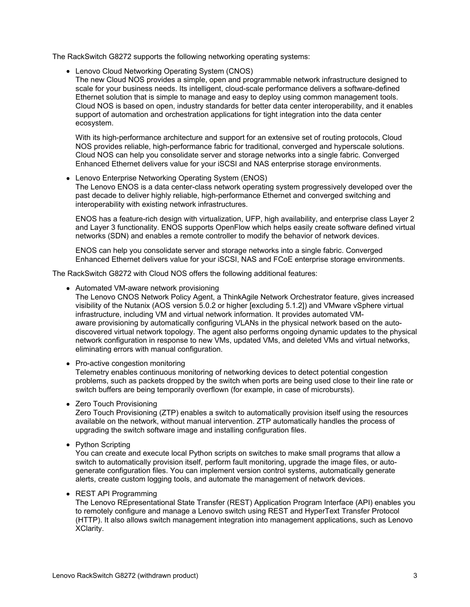The RackSwitch G8272 supports the following networking operating systems:

Lenovo Cloud Networking Operating System (CNOS)

The new Cloud NOS provides a simple, open and programmable network infrastructure designed to scale for your business needs. Its intelligent, cloud-scale performance delivers a software-defined Ethernet solution that is simple to manage and easy to deploy using common management tools. Cloud NOS is based on open, industry standards for better data center interoperability, and it enables support of automation and orchestration applications for tight integration into the data center ecosystem.

With its high-performance architecture and support for an extensive set of routing protocols, Cloud NOS provides reliable, high-performance fabric for traditional, converged and hyperscale solutions. Cloud NOS can help you consolidate server and storage networks into a single fabric. Converged Enhanced Ethernet delivers value for your iSCSI and NAS enterprise storage environments.

Lenovo Enterprise Networking Operating System (ENOS)

The Lenovo ENOS is a data center-class network operating system progressively developed over the past decade to deliver highly reliable, high-performance Ethernet and converged switching and interoperability with existing network infrastructures.

ENOS has a feature-rich design with virtualization, UFP, high availability, and enterprise class Layer 2 and Layer 3 functionality. ENOS supports OpenFlow which helps easily create software defined virtual networks (SDN) and enables a remote controller to modify the behavior of network devices.

ENOS can help you consolidate server and storage networks into a single fabric. Converged Enhanced Ethernet delivers value for your iSCSI, NAS and FCoE enterprise storage environments.

The RackSwitch G8272 with Cloud NOS offers the following additional features:

Automated VM-aware network provisioning

The Lenovo CNOS Network Policy Agent, a ThinkAgile Network Orchestrator feature, gives increased visibility of the Nutanix (AOS version 5.0.2 or higher [excluding 5.1.2]) and VMware vSphere virtual infrastructure, including VM and virtual network information. It provides automated VMaware provisioning by automatically configuring VLANs in the physical network based on the autodiscovered virtual network topology. The agent also performs ongoing dynamic updates to the physical network configuration in response to new VMs, updated VMs, and deleted VMs and virtual networks, eliminating errors with manual configuration.

• Pro-active congestion monitoring

Telemetry enables continuous monitoring of networking devices to detect potential congestion problems, such as packets dropped by the switch when ports are being used close to their line rate or switch buffers are being temporarily overflown (for example, in case of microbursts).

• Zero Touch Provisioning

Zero Touch Provisioning (ZTP) enables a switch to automatically provision itself using the resources available on the network, without manual intervention. ZTP automatically handles the process of upgrading the switch software image and installing configuration files.

• Python Scripting

You can create and execute local Python scripts on switches to make small programs that allow a switch to automatically provision itself, perform fault monitoring, upgrade the image files, or autogenerate configuration files. You can implement version control systems, automatically generate alerts, create custom logging tools, and automate the management of network devices.

• REST API Programming

The Lenovo REpresentational State Transfer (REST) Application Program Interface (API) enables you to remotely configure and manage a Lenovo switch using REST and HyperText Transfer Protocol (HTTP). It also allows switch management integration into management applications, such as Lenovo XClarity.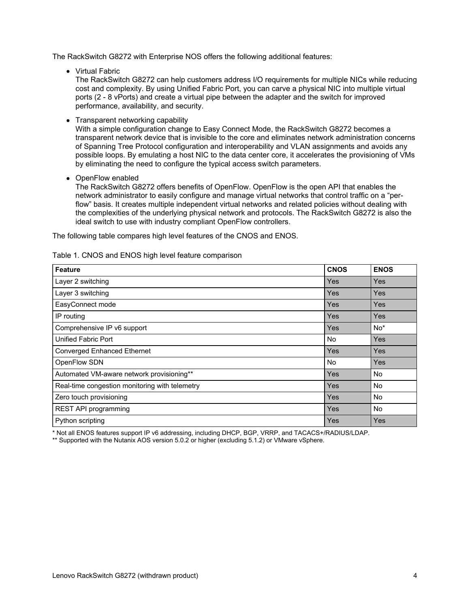The RackSwitch G8272 with Enterprise NOS offers the following additional features:

Virtual Fabric

The RackSwitch G8272 can help customers address I/O requirements for multiple NICs while reducing cost and complexity. By using Unified Fabric Port, you can carve a physical NIC into multiple virtual ports (2 - 8 vPorts) and create a virtual pipe between the adapter and the switch for improved performance, availability, and security.

• Transparent networking capability

With a simple configuration change to Easy Connect Mode, the RackSwitch G8272 becomes a transparent network device that is invisible to the core and eliminates network administration concerns of Spanning Tree Protocol configuration and interoperability and VLAN assignments and avoids any possible loops. By emulating a host NIC to the data center core, it accelerates the provisioning of VMs by eliminating the need to configure the typical access switch parameters.

• OpenFlow enabled

The RackSwitch G8272 offers benefits of OpenFlow. OpenFlow is the open API that enables the network administrator to easily configure and manage virtual networks that control traffic on a "perflow" basis. It creates multiple independent virtual networks and related policies without dealing with the complexities of the underlying physical network and protocols. The RackSwitch G8272 is also the ideal switch to use with industry compliant OpenFlow controllers.

The following table compares high level features of the CNOS and ENOS.

| <b>Feature</b>                                 | <b>CNOS</b> | <b>ENOS</b> |
|------------------------------------------------|-------------|-------------|
| Layer 2 switching                              | Yes         | <b>Yes</b>  |
| Layer 3 switching                              | Yes         | <b>Yes</b>  |
| EasyConnect mode                               | Yes         | <b>Yes</b>  |
| IP routing                                     | Yes         | Yes         |
| Comprehensive IP v6 support                    | Yes         | $No*$       |
| Unified Fabric Port                            | <b>No</b>   | <b>Yes</b>  |
| <b>Converged Enhanced Ethernet</b>             | Yes         | Yes         |
| OpenFlow SDN                                   | <b>No</b>   | Yes         |
| Automated VM-aware network provisioning**      | Yes         | <b>No</b>   |
| Real-time congestion monitoring with telemetry | Yes         | <b>No</b>   |
| Zero touch provisioning                        | Yes         | <b>No</b>   |
| REST API programming                           | Yes         | <b>No</b>   |
| Python scripting                               | Yes         | Yes         |

#### Table 1. CNOS and ENOS high level feature comparison

\* Not all ENOS features support IP v6 addressing, including DHCP, BGP, VRRP, and TACACS+/RADIUS/LDAP.

\*\* Supported with the Nutanix AOS version 5.0.2 or higher (excluding 5.1.2) or VMware vSphere.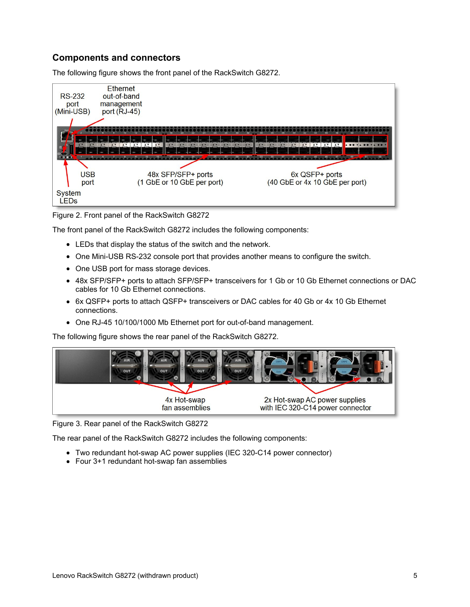## **Components and connectors**

The following figure shows the front panel of the RackSwitch G8272.



Figure 2. Front panel of the RackSwitch G8272

The front panel of the RackSwitch G8272 includes the following components:

- LEDs that display the status of the switch and the network.
- One Mini-USB RS-232 console port that provides another means to configure the switch.
- One USB port for mass storage devices.
- 48x SFP/SFP+ ports to attach SFP/SFP+ transceivers for 1 Gb or 10 Gb Ethernet connections or DAC cables for 10 Gb Ethernet connections.
- 6x QSFP+ ports to attach QSFP+ transceivers or DAC cables for 40 Gb or 4x 10 Gb Ethernet connections.
- One RJ-45 10/100/1000 Mb Ethernet port for out-of-band management.

The following figure shows the rear panel of the RackSwitch G8272.



Figure 3. Rear panel of the RackSwitch G8272

The rear panel of the RackSwitch G8272 includes the following components:

- Two redundant hot-swap AC power supplies (IEC 320-C14 power connector)
- Four 3+1 redundant hot-swap fan assemblies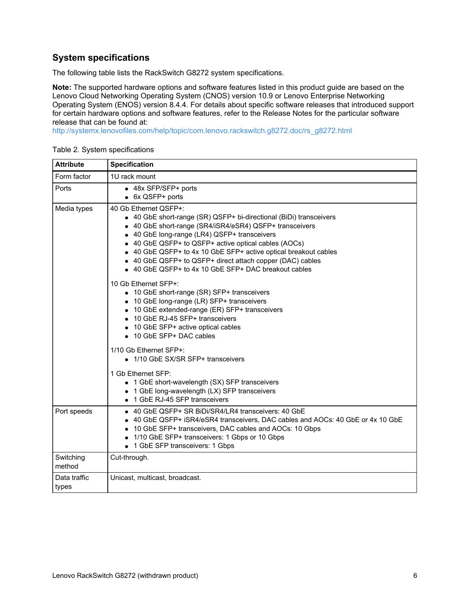## **System specifications**

The following table lists the RackSwitch G8272 system specifications.

**Note:** The supported hardware options and software features listed in this product guide are based on the Lenovo Cloud Networking Operating System (CNOS) version 10.9 or Lenovo Enterprise Networking Operating System (ENOS) version 8.4.4. For details about specific software releases that introduced support for certain hardware options and software features, refer to the Release Notes for the particular software release that can be found at:

[http://systemx.lenovofiles.com/help/topic/com.lenovo.rackswitch.g8272.doc/rs\\_g8272.html](http://systemx.lenovofiles.com/help/topic/com.lenovo.rackswitch.g8272.doc/rs_g8272.html)

| <b>Attribute</b>      | <b>Specification</b>                                                                                                                                                                                                                                                                                                                                                                                                                                   |
|-----------------------|--------------------------------------------------------------------------------------------------------------------------------------------------------------------------------------------------------------------------------------------------------------------------------------------------------------------------------------------------------------------------------------------------------------------------------------------------------|
| Form factor           | 1U rack mount                                                                                                                                                                                                                                                                                                                                                                                                                                          |
| Ports                 | • 48x SFP/SFP+ ports<br>• 6x QSFP+ ports                                                                                                                                                                                                                                                                                                                                                                                                               |
| Media types           | 40 Gb Ethernet QSFP+:<br>• 40 GbE short-range (SR) QSFP+ bi-directional (BiDi) transceivers<br>• 40 GbE short-range (SR4/iSR4/eSR4) QSFP+ transceivers<br>• 40 GbE long-range (LR4) QSFP+ transceivers<br>• 40 GbE QSFP+ to QSFP+ active optical cables (AOCs)<br>• 40 GbE QSFP+ to 4x 10 GbE SFP+ active optical breakout cables<br>• 40 GbE QSFP+ to QSFP+ direct attach copper (DAC) cables<br>• 40 GbE QSFP+ to 4x 10 GbE SFP+ DAC breakout cables |
|                       | 10 Gb Ethernet SFP+:<br>• 10 GbE short-range (SR) SFP+ transceivers<br>• 10 GbE long-range (LR) SFP+ transceivers<br>• 10 GbE extended-range (ER) SFP+ transceivers<br>• 10 GbE RJ-45 SFP+ transceivers<br>• 10 GbE SFP+ active optical cables<br>• 10 GbE SFP+ DAC cables                                                                                                                                                                             |
|                       | 1/10 Gb Ethernet SFP+:<br>• 1/10 GbE SX/SR SFP+ transceivers                                                                                                                                                                                                                                                                                                                                                                                           |
|                       | 1 Gb Ethernet SFP:<br>• 1 GbE short-wavelength (SX) SFP transceivers<br>• 1 GbE long-wavelength (LX) SFP transceivers<br>• 1 GbE RJ-45 SFP transceivers                                                                                                                                                                                                                                                                                                |
| Port speeds           | • 40 GbE QSFP+ SR BiDi/SR4/LR4 transceivers: 40 GbE<br>• 40 GbE QSFP+ iSR4/eSR4 transceivers, DAC cables and AOCs: 40 GbE or 4x 10 GbE<br>• 10 GbE SFP+ transceivers, DAC cables and AOCs: 10 Gbps<br>• 1/10 GbE SFP+ transceivers: 1 Gbps or 10 Gbps<br>• 1 GbE SFP transceivers: 1 Gbps                                                                                                                                                              |
| Switching<br>method   | Cut-through.                                                                                                                                                                                                                                                                                                                                                                                                                                           |
| Data traffic<br>types | Unicast, multicast, broadcast.                                                                                                                                                                                                                                                                                                                                                                                                                         |

Table 2. System specifications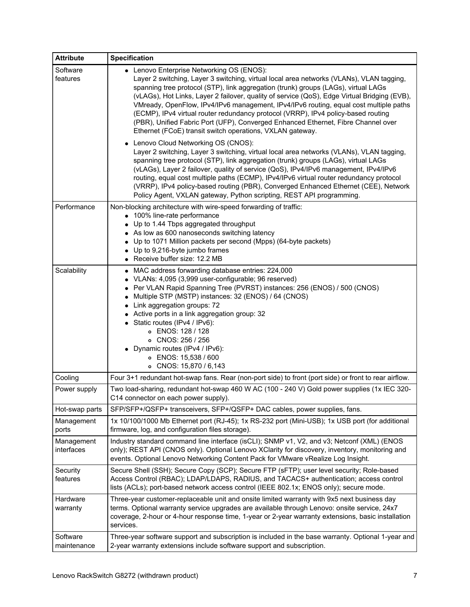| <b>Attribute</b>         | <b>Specification</b>                                                                                                                                                                                                                                                                                                                                                                                                                                                                                                                                                                                                                                        |
|--------------------------|-------------------------------------------------------------------------------------------------------------------------------------------------------------------------------------------------------------------------------------------------------------------------------------------------------------------------------------------------------------------------------------------------------------------------------------------------------------------------------------------------------------------------------------------------------------------------------------------------------------------------------------------------------------|
| Software<br>features     | • Lenovo Enterprise Networking OS (ENOS):<br>Layer 2 switching, Layer 3 switching, virtual local area networks (VLANs), VLAN tagging,<br>spanning tree protocol (STP), link aggregation (trunk) groups (LAGs), virtual LAGs<br>(vLAGs), Hot Links, Layer 2 failover, quality of service (QoS), Edge Virtual Bridging (EVB),<br>VMready, OpenFlow, IPv4/IPv6 management, IPv4/IPv6 routing, equal cost multiple paths<br>(ECMP), IPv4 virtual router redundancy protocol (VRRP), IPv4 policy-based routing<br>(PBR), Unified Fabric Port (UFP), Converged Enhanced Ethernet, Fibre Channel over<br>Ethernet (FCoE) transit switch operations, VXLAN gateway. |
|                          | Lenovo Cloud Networking OS (CNOS):<br>$\bullet$<br>Layer 2 switching, Layer 3 switching, virtual local area networks (VLANs), VLAN tagging,<br>spanning tree protocol (STP), link aggregation (trunk) groups (LAGs), virtual LAGs<br>(vLAGs), Layer 2 failover, quality of service (QoS), IPv4/IPv6 management, IPv4/IPv6<br>routing, equal cost multiple paths (ECMP), IPv4/IPv6 virtual router redundancy protocol<br>(VRRP), IPv4 policy-based routing (PBR), Converged Enhanced Ethernet (CEE), Network<br>Policy Agent, VXLAN gateway, Python scripting, REST API programming.                                                                         |
| Performance              | Non-blocking architecture with wire-speed forwarding of traffic:<br>• 100% line-rate performance<br>• Up to 1.44 Tbps aggregated throughput<br>• As low as 600 nanoseconds switching latency<br>• Up to 1071 Million packets per second (Mpps) (64-byte packets)<br>• Up to 9,216-byte jumbo frames<br>• Receive buffer size: 12.2 MB                                                                                                                                                                                                                                                                                                                       |
| Scalability              | • MAC address forwarding database entries: 224,000<br>• VLANs: 4,095 (3,999 user-configurable; 96 reserved)<br>Per VLAN Rapid Spanning Tree (PVRST) instances: 256 (ENOS) / 500 (CNOS)<br>• Multiple STP (MSTP) instances: 32 (ENOS) / 64 (CNOS)<br>• Link aggregation groups: 72<br>• Active ports in a link aggregation group: 32<br>• Static routes (IPv4 / IPv6):<br>o ENOS: 128 / 128<br>o CNOS: 256 / 256<br>• Dynamic routes (IPv4 / IPv6):<br>o ENOS: 15,538 / 600<br>o CNOS: 15,870 / 6,143                                                                                                                                                        |
| Cooling                  | Four 3+1 redundant hot-swap fans. Rear (non-port side) to front (port side) or front to rear airflow.                                                                                                                                                                                                                                                                                                                                                                                                                                                                                                                                                       |
| Power supply             | Two load-sharing, redundant hot-swap 460 W AC (100 - 240 V) Gold power supplies (1x IEC 320-<br>C14 connector on each power supply).                                                                                                                                                                                                                                                                                                                                                                                                                                                                                                                        |
| Hot-swap parts           | SFP/SFP+/QSFP+ transceivers, SFP+/QSFP+ DAC cables, power supplies, fans.                                                                                                                                                                                                                                                                                                                                                                                                                                                                                                                                                                                   |
| Management<br>ports      | 1x 10/100/1000 Mb Ethernet port (RJ-45); 1x RS-232 port (Mini-USB); 1x USB port (for additional<br>firmware, log, and configuration files storage).                                                                                                                                                                                                                                                                                                                                                                                                                                                                                                         |
| Management<br>interfaces | Industry standard command line interface (isCLI); SNMP v1, V2, and v3; Netconf (XML) (ENOS<br>only); REST API (CNOS only). Optional Lenovo XClarity for discovery, inventory, monitoring and<br>events. Optional Lenovo Networking Content Pack for VMware vRealize Log Insight.                                                                                                                                                                                                                                                                                                                                                                            |
| Security<br>features     | Secure Shell (SSH); Secure Copy (SCP); Secure FTP (sFTP); user level security; Role-based<br>Access Control (RBAC); LDAP/LDAPS, RADIUS, and TACACS+ authentication; access control<br>lists (ACLs); port-based network access control (IEEE 802.1x; ENOS only); secure mode.                                                                                                                                                                                                                                                                                                                                                                                |
| Hardware<br>warranty     | Three-year customer-replaceable unit and onsite limited warranty with 9x5 next business day<br>terms. Optional warranty service upgrades are available through Lenovo: onsite service, 24x7<br>coverage, 2-hour or 4-hour response time, 1-year or 2-year warranty extensions, basic installation<br>services.                                                                                                                                                                                                                                                                                                                                              |
| Software<br>maintenance  | Three-year software support and subscription is included in the base warranty. Optional 1-year and<br>2-year warranty extensions include software support and subscription.                                                                                                                                                                                                                                                                                                                                                                                                                                                                                 |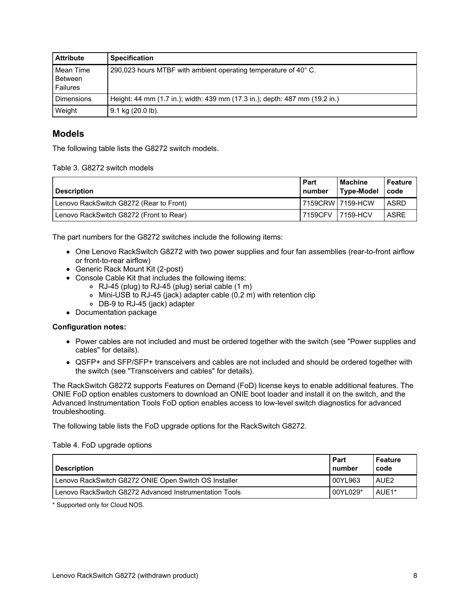| <b>Attribute</b>                 | <b>Specification</b>                                                        |
|----------------------------------|-----------------------------------------------------------------------------|
| Mean Time<br>Between<br>Failures | 290,023 hours MTBF with ambient operating temperature of 40° C.             |
| <b>Dimensions</b>                | Height: 44 mm (1.7 in.); width: 439 mm (17.3 in.); depth: 487 mm (19.2 in.) |
| Weight                           | 9.1 kg (20.0 lb).                                                           |

#### **Models**

The following table lists the G8272 switch models.

#### Table 3. G8272 switch models

| <b>Description</b>                      | Part<br>l number | <b>Machine</b><br>Type-Model | Feature<br>code |
|-----------------------------------------|------------------|------------------------------|-----------------|
| Lenovo RackSwitch G8272 (Rear to Front) |                  | 17159CRW17159-HCW            | <b>ASRD</b>     |
| Lenovo RackSwitch G8272 (Front to Rear) | 7159CFV          | <b>17159-HCV</b>             | ASRE            |

The part numbers for the G8272 switches include the following items:

- One Lenovo RackSwitch G8272 with two power supplies and four fan assemblies (rear-to-front airflow or front-to-rear airflow)
- Generic Rack Mount Kit (2-post)
- Console Cable Kit that includes the following items:
	- RJ-45 (plug) to RJ-45 (plug) serial cable (1 m)
	- Mini-USB to RJ-45 (jack) adapter cable (0.2 m) with retention clip
	- DB-9 to RJ-45 (jack) adapter
- Documentation package

#### **Configuration notes:**

- Power cables are not included and must be ordered together with the switch (see "Power supplies and cables" for details).
- QSFP+ and SFP/SFP+ transceivers and cables are not included and should be ordered together with the switch (see "Transceivers and cables" for details).

The RackSwitch G8272 supports Features on Demand (FoD) license keys to enable additional features. The ONIE FoD option enables customers to download an ONIE boot loader and install it on the switch, and the Advanced Instrumentation Tools FoD option enables access to low-level switch diagnostics for advanced troubleshooting.

The following table lists the FoD upgrade options for the RackSwitch G8272.

#### Table 4. FoD upgrade options

| <b>Description</b>                                     | Part<br>number | Feature<br>code  |
|--------------------------------------------------------|----------------|------------------|
| Lenovo RackSwitch G8272 ONIE Open Switch OS Installer  | 00YL963        | AUE <sub>2</sub> |
| Lenovo RackSwitch G8272 Advanced Instrumentation Tools | 00YL029*       | AUE1*            |

\* Supported only for Cloud NOS.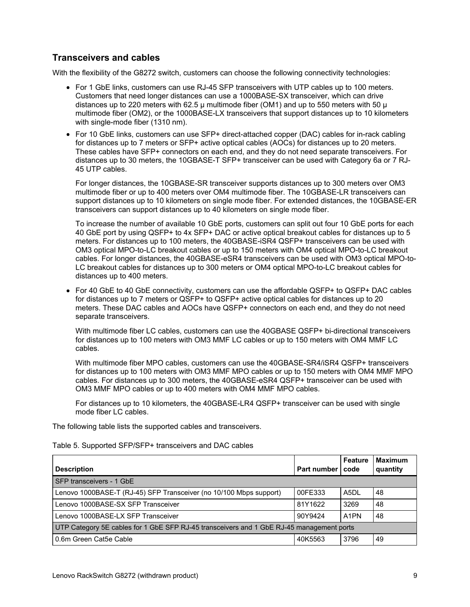#### **Transceivers and cables**

With the flexibility of the G8272 switch, customers can choose the following connectivity technologies:

- For 1 GbE links, customers can use RJ-45 SFP transceivers with UTP cables up to 100 meters. Customers that need longer distances can use a 1000BASE-SX transceiver, which can drive distances up to 220 meters with 62.5  $\mu$  multimode fiber (OM1) and up to 550 meters with 50  $\mu$ multimode fiber (OM2), or the 1000BASE-LX transceivers that support distances up to 10 kilometers with single-mode fiber (1310 nm).
- For 10 GbE links, customers can use SFP+ direct-attached copper (DAC) cables for in-rack cabling for distances up to 7 meters or SFP+ active optical cables (AOCs) for distances up to 20 meters. These cables have SFP+ connectors on each end, and they do not need separate transceivers. For distances up to 30 meters, the 10GBASE-T SFP+ transceiver can be used with Category 6a or 7 RJ-45 UTP cables.

For longer distances, the 10GBASE-SR transceiver supports distances up to 300 meters over OM3 multimode fiber or up to 400 meters over OM4 multimode fiber. The 10GBASE-LR transceivers can support distances up to 10 kilometers on single mode fiber. For extended distances, the 10GBASE-ER transceivers can support distances up to 40 kilometers on single mode fiber.

To increase the number of available 10 GbE ports, customers can split out four 10 GbE ports for each 40 GbE port by using QSFP+ to 4x SFP+ DAC or active optical breakout cables for distances up to 5 meters. For distances up to 100 meters, the 40GBASE-iSR4 QSFP+ transceivers can be used with OM3 optical MPO-to-LC breakout cables or up to 150 meters with OM4 optical MPO-to-LC breakout cables. For longer distances, the 40GBASE-eSR4 transceivers can be used with OM3 optical MPO-to-LC breakout cables for distances up to 300 meters or OM4 optical MPO-to-LC breakout cables for distances up to 400 meters.

For 40 GbE to 40 GbE connectivity, customers can use the affordable QSFP+ to QSFP+ DAC cables for distances up to 7 meters or QSFP+ to QSFP+ active optical cables for distances up to 20 meters. These DAC cables and AOCs have QSFP+ connectors on each end, and they do not need separate transceivers.

With multimode fiber LC cables, customers can use the 40GBASE QSFP+ bi-directional transceivers for distances up to 100 meters with OM3 MMF LC cables or up to 150 meters with OM4 MMF LC cables.

With multimode fiber MPO cables, customers can use the 40GBASE-SR4/iSR4 QSFP+ transceivers for distances up to 100 meters with OM3 MMF MPO cables or up to 150 meters with OM4 MMF MPO cables. For distances up to 300 meters, the 40GBASE-eSR4 QSFP+ transceiver can be used with OM3 MMF MPO cables or up to 400 meters with OM4 MMF MPO cables.

For distances up to 10 kilometers, the 40GBASE-LR4 QSFP+ transceiver can be used with single mode fiber LC cables.

The following table lists the supported cables and transceivers.

| Table 5. Supported SFP/SFP+ transceivers and DAC cables |  |
|---------------------------------------------------------|--|
|---------------------------------------------------------|--|

| <b>Description</b>                                                                       | Part number | Feature<br>code   | <b>Maximum</b><br>quantity |
|------------------------------------------------------------------------------------------|-------------|-------------------|----------------------------|
| <b>SFP transceivers - 1 GbE</b>                                                          |             |                   |                            |
| Lenovo 1000BASE-T (RJ-45) SFP Transceiver (no 10/100 Mbps support)                       | 00FE333     | A5DL              | 48                         |
| Lenovo 1000BASE-SX SFP Transceiver                                                       | 81Y1622     | 3269              | 48                         |
| Lenovo 1000BASE-LX SFP Transceiver                                                       | 90Y9424     | A <sub>1</sub> PN | 48                         |
| UTP Category 5E cables for 1 GbE SFP RJ-45 transceivers and 1 GbE RJ-45 management ports |             |                   |                            |
| 0.6m Green Cat5e Cable                                                                   | 40K5563     | 3796              | 49                         |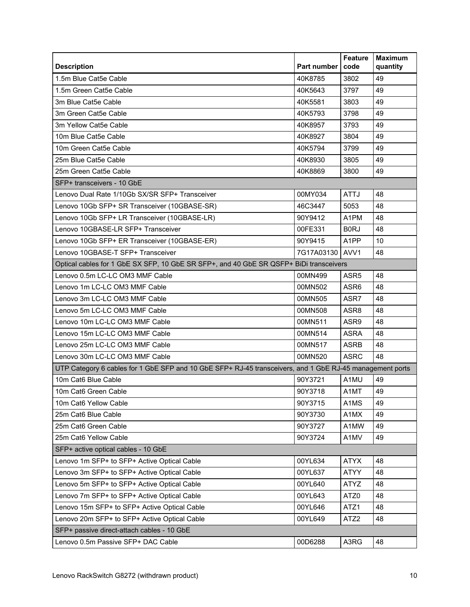| <b>Description</b>                                                                                       | Part number | <b>Feature</b><br>code | <b>Maximum</b><br>quantity |
|----------------------------------------------------------------------------------------------------------|-------------|------------------------|----------------------------|
| 1.5m Blue Cat5e Cable                                                                                    | 40K8785     | 3802                   | 49                         |
| 1.5m Green Cat5e Cable                                                                                   | 40K5643     | 3797                   | 49                         |
| 3m Blue Cat5e Cable                                                                                      | 40K5581     | 3803                   | 49                         |
| 3m Green Cat5e Cable                                                                                     | 40K5793     | 3798                   | 49                         |
| 3m Yellow Cat5e Cable                                                                                    | 40K8957     | 3793                   | 49                         |
| 10m Blue Cat5e Cable                                                                                     | 40K8927     | 3804                   | 49                         |
| 10m Green Cat5e Cable                                                                                    | 40K5794     | 3799                   | 49                         |
| 25m Blue Cat5e Cable                                                                                     | 40K8930     | 3805                   | 49                         |
| 25m Green Cat5e Cable                                                                                    | 40K8869     | 3800                   | 49                         |
| SFP+ transceivers - 10 GbE                                                                               |             |                        |                            |
| Lenovo Dual Rate 1/10Gb SX/SR SFP+ Transceiver                                                           | 00MY034     | <b>ATTJ</b>            | 48                         |
| Lenovo 10Gb SFP+ SR Transceiver (10GBASE-SR)                                                             | 46C3447     | 5053                   | 48                         |
| Lenovo 10Gb SFP+ LR Transceiver (10GBASE-LR)                                                             | 90Y9412     | A <sub>1</sub> PM      | 48                         |
| Lenovo 10GBASE-LR SFP+ Transceiver                                                                       | 00FE331     | <b>B0RJ</b>            | 48                         |
| Lenovo 10Gb SFP+ ER Transceiver (10GBASE-ER)                                                             | 90Y9415     | A <sub>1</sub> PP      | 10                         |
| Lenovo 10GBASE-T SFP+ Transceiver                                                                        | 7G17A03130  | AVV1                   | 48                         |
| Optical cables for 1 GbE SX SFP, 10 GbE SR SFP+, and 40 GbE SR QSFP+ BiDi transceivers                   |             |                        |                            |
| Lenovo 0.5m LC-LC OM3 MMF Cable                                                                          | 00MN499     | ASR <sub>5</sub>       | 48                         |
| Lenovo 1m LC-LC OM3 MMF Cable                                                                            | 00MN502     | ASR <sub>6</sub>       | 48                         |
| Lenovo 3m LC-LC OM3 MMF Cable                                                                            | 00MN505     | ASR7                   | 48                         |
| Lenovo 5m LC-LC OM3 MMF Cable                                                                            | 00MN508     | ASR <sub>8</sub>       | 48                         |
| Lenovo 10m LC-LC OM3 MMF Cable                                                                           | 00MN511     | ASR9                   | 48                         |
| Lenovo 15m LC-LC OM3 MMF Cable                                                                           | 00MN514     | <b>ASRA</b>            | 48                         |
| Lenovo 25m LC-LC OM3 MMF Cable                                                                           | 00MN517     | <b>ASRB</b>            | 48                         |
| Lenovo 30m LC-LC OM3 MMF Cable                                                                           | 00MN520     | <b>ASRC</b>            | 48                         |
| UTP Category 6 cables for 1 GbE SFP and 10 GbE SFP+ RJ-45 transceivers, and 1 GbE RJ-45 management ports |             |                        |                            |
| 10m Cat6 Blue Cable                                                                                      | 90Y3721     | A1MU                   | 49                         |
| 10m Cat6 Green Cable                                                                                     | 90Y3718     | A1MT                   | 49                         |
| 10m Cat6 Yellow Cable                                                                                    | 90Y3715     | A1MS                   | 49                         |
| 25m Cat6 Blue Cable                                                                                      | 90Y3730     | A1MX                   | 49                         |
| 25m Cat6 Green Cable                                                                                     | 90Y3727     | A1MW                   | 49                         |
| 25m Cat6 Yellow Cable                                                                                    | 90Y3724     | A1MV                   | 49                         |
| SFP+ active optical cables - 10 GbE                                                                      |             |                        |                            |
| Lenovo 1m SFP+ to SFP+ Active Optical Cable                                                              | 00YL634     | <b>ATYX</b>            | 48                         |
| Lenovo 3m SFP+ to SFP+ Active Optical Cable                                                              | 00YL637     | <b>ATYY</b>            | 48                         |
| Lenovo 5m SFP+ to SFP+ Active Optical Cable                                                              | 00YL640     | <b>ATYZ</b>            | 48                         |
| Lenovo 7m SFP+ to SFP+ Active Optical Cable                                                              | 00YL643     | ATZ0                   | 48                         |
| Lenovo 15m SFP+ to SFP+ Active Optical Cable                                                             | 00YL646     | ATZ1                   | 48                         |
| Lenovo 20m SFP+ to SFP+ Active Optical Cable                                                             | 00YL649     | ATZ <sub>2</sub>       | 48                         |
| SFP+ passive direct-attach cables - 10 GbE                                                               |             |                        |                            |
| Lenovo 0.5m Passive SFP+ DAC Cable                                                                       | 00D6288     | A3RG                   | 48                         |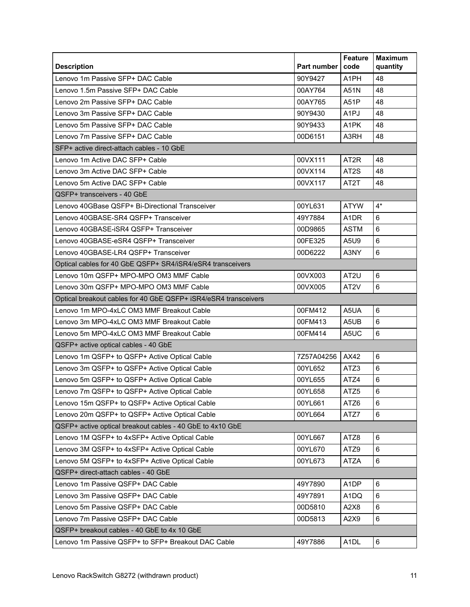| <b>Description</b>                                              | <b>Part number</b> | <b>Feature</b><br>code | <b>Maximum</b><br>quantity |
|-----------------------------------------------------------------|--------------------|------------------------|----------------------------|
| Lenovo 1m Passive SFP+ DAC Cable                                | 90Y9427            | A <sub>1</sub> PH      | 48                         |
| Lenovo 1.5m Passive SFP+ DAC Cable                              | 00AY764            | A51N                   | 48                         |
| Lenovo 2m Passive SFP+ DAC Cable                                | 00AY765            | A51P                   | 48                         |
| Lenovo 3m Passive SFP+ DAC Cable                                | 90Y9430            | A <sub>1</sub> PJ      | 48                         |
| Lenovo 5m Passive SFP+ DAC Cable                                | 90Y9433            | A1PK                   | 48                         |
| Lenovo 7m Passive SFP+ DAC Cable                                | 00D6151            | A3RH                   | 48                         |
| SFP+ active direct-attach cables - 10 GbE                       |                    |                        |                            |
| Lenovo 1m Active DAC SFP+ Cable                                 | 00VX111            | AT <sub>2</sub> R      | 48                         |
| Lenovo 3m Active DAC SFP+ Cable                                 | 00VX114            | AT <sub>2</sub> S      | 48                         |
| Lenovo 5m Active DAC SFP+ Cable                                 | 00VX117            | AT <sub>2</sub> T      | 48                         |
| QSFP+ transceivers - 40 GbE                                     |                    |                        |                            |
| Lenovo 40GBase QSFP+ Bi-Directional Transceiver                 | 00YL631            | <b>ATYW</b>            | $4^*$                      |
| Lenovo 40GBASE-SR4 QSFP+ Transceiver                            | 49Y7884            | A <sub>1</sub> DR      | 6                          |
| Lenovo 40GBASE-iSR4 QSFP+ Transceiver                           | 00D9865            | <b>ASTM</b>            | 6                          |
| Lenovo 40GBASE-eSR4 QSFP+ Transceiver                           | 00FE325            | A5U9                   | 6                          |
| Lenovo 40GBASE-LR4 QSFP+ Transceiver                            | 00D6222            | A3NY                   | 6                          |
| Optical cables for 40 GbE QSFP+ SR4/iSR4/eSR4 transceivers      |                    |                        |                            |
| Lenovo 10m QSFP+ MPO-MPO OM3 MMF Cable                          | 00VX003            | AT2U                   | $\,6\,$                    |
| Lenovo 30m QSFP+ MPO-MPO OM3 MMF Cable                          | 00VX005            | AT <sub>2V</sub>       | 6                          |
| Optical breakout cables for 40 GbE QSFP+ iSR4/eSR4 transceivers |                    |                        |                            |
| Lenovo 1m MPO-4xLC OM3 MMF Breakout Cable                       | 00FM412            | A5UA                   | 6                          |
| Lenovo 3m MPO-4xLC OM3 MMF Breakout Cable                       | 00FM413            | A5UB                   | $6\phantom{1}$             |
| Lenovo 5m MPO-4xLC OM3 MMF Breakout Cable                       | 00FM414            | A <sub>5</sub> UC      | 6                          |
| QSFP+ active optical cables - 40 GbE                            |                    |                        |                            |
| Lenovo 1m QSFP+ to QSFP+ Active Optical Cable                   | 7Z57A04256         | AX42                   | 6                          |
| Lenovo 3m QSFP+ to QSFP+ Active Optical Cable                   | 00YL652            | ATZ3                   | $6\phantom{1}$             |
| Lenovo 5m QSFP+ to QSFP+ Active Optical Cable                   | 00YL655            | ATZ4                   | 6                          |
| Lenovo 7m QSFP+ to QSFP+ Active Optical Cable                   | 00YL658            | ATZ5                   | $\,6$                      |
| Lenovo 15m QSFP+ to QSFP+ Active Optical Cable                  | 00YL661            | ATZ6                   | 6                          |
| Lenovo 20m QSFP+ to QSFP+ Active Optical Cable                  | 00YL664            | ATZ7                   | $6\phantom{a}$             |
| QSFP+ active optical breakout cables - 40 GbE to 4x10 GbE       |                    |                        |                            |
| Lenovo 1M QSFP+ to 4xSFP+ Active Optical Cable                  | 00YL667            | ATZ8                   | 6                          |
| Lenovo 3M QSFP+ to 4xSFP+ Active Optical Cable                  | 00YL670            | ATZ9                   | 6                          |
| Lenovo 5M QSFP+ to 4xSFP+ Active Optical Cable                  | 00YL673            | <b>ATZA</b>            | 6                          |
| QSFP+ direct-attach cables - 40 GbE                             |                    |                        |                            |
| Lenovo 1m Passive QSFP+ DAC Cable                               | 49Y7890            | A <sub>1</sub> DP      | 6                          |
| Lenovo 3m Passive QSFP+ DAC Cable                               | 49Y7891            | A1DQ                   | 6                          |
| Lenovo 5m Passive QSFP+ DAC Cable                               | 00D5810            | A2X8                   | 6                          |
| Lenovo 7m Passive QSFP+ DAC Cable                               | 00D5813            | A2X9                   | 6                          |
| QSFP+ breakout cables - 40 GbE to 4x 10 GbE                     |                    |                        |                            |
| Lenovo 1m Passive QSFP+ to SFP+ Breakout DAC Cable              | 49Y7886            | A <sub>1</sub> DL      | 6                          |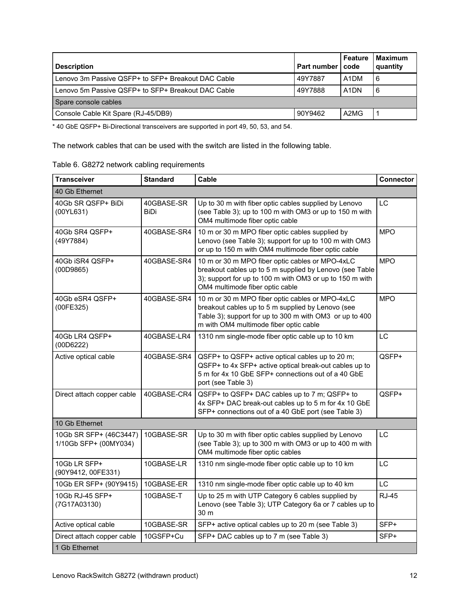| <b>Description</b>                                 | Part number I code | Feature                       | <b>Maximum</b><br>quantity |
|----------------------------------------------------|--------------------|-------------------------------|----------------------------|
| Lenovo 3m Passive QSFP+ to SFP+ Breakout DAC Cable | 49Y7887            | A <sub>1</sub> DM             | 6                          |
| Lenovo 5m Passive QSFP+ to SFP+ Breakout DAC Cable | 49Y7888            | A <sub>1</sub> D <sub>N</sub> | 6                          |
| Spare console cables                               |                    |                               |                            |
| Console Cable Kit Spare (RJ-45/DB9)                | 90Y9462            | A2MG                          |                            |

\* 40 GbE QSFP+ Bi-Directional transceivers are supported in port 49, 50, 53, and 54.

The network cables that can be used with the switch are listed in the following table.

| Table 6. G8272 network cabling requirements |  |
|---------------------------------------------|--|
|---------------------------------------------|--|

| <b>Transceiver</b>                              | <b>Standard</b>    | Cable                                                                                                                                                                                                     | Connector    |
|-------------------------------------------------|--------------------|-----------------------------------------------------------------------------------------------------------------------------------------------------------------------------------------------------------|--------------|
| 40 Gb Ethernet                                  |                    |                                                                                                                                                                                                           |              |
| 40Gb SR QSFP+ BiDi<br>(00YL631)                 | 40GBASE-SR<br>BiDi | Up to 30 m with fiber optic cables supplied by Lenovo<br>(see Table 3); up to 100 m with OM3 or up to 150 m with<br>OM4 multimode fiber optic cable                                                       | <b>LC</b>    |
| 40Gb SR4 QSFP+<br>(49Y7884)                     | 40GBASE-SR4        | 10 m or 30 m MPO fiber optic cables supplied by<br>Lenovo (see Table 3); support for up to 100 m with OM3<br>or up to 150 m with OM4 multimode fiber optic cable                                          | <b>MPO</b>   |
| 40Gb iSR4 QSFP+<br>(00D9865)                    | 40GBASE-SR4        | 10 m or 30 m MPO fiber optic cables or MPO-4xLC<br>breakout cables up to 5 m supplied by Lenovo (see Table<br>3); support for up to 100 m with OM3 or up to 150 m with<br>OM4 multimode fiber optic cable | <b>MPO</b>   |
| 40Gb eSR4 QSFP+<br>(00FE325)                    | 40GBASE-SR4        | 10 m or 30 m MPO fiber optic cables or MPO-4xLC<br>breakout cables up to 5 m supplied by Lenovo (see<br>Table 3); support for up to 300 m with OM3 or up to 400<br>m with OM4 multimode fiber optic cable | <b>MPO</b>   |
| 40Gb LR4 QSFP+<br>(00D6222)                     | 40GBASE-LR4        | 1310 nm single-mode fiber optic cable up to 10 km                                                                                                                                                         | LC           |
| Active optical cable                            | 40GBASE-SR4        | QSFP+ to QSFP+ active optical cables up to 20 m;<br>QSFP+ to 4x SFP+ active optical break-out cables up to<br>5 m for 4x 10 GbE SFP+ connections out of a 40 GbE<br>port (see Table 3)                    | QSFP+        |
| Direct attach copper cable                      | 40GBASE-CR4        | QSFP+ to QSFP+ DAC cables up to 7 m; QSFP+ to<br>4x SFP+ DAC break-out cables up to 5 m for 4x 10 GbE<br>SFP+ connections out of a 40 GbE port (see Table 3)                                              | QSFP+        |
| 10 Gb Ethernet                                  |                    |                                                                                                                                                                                                           |              |
| 10Gb SR SFP+ (46C3447)<br>1/10Gb SFP+ (00MY034) | 10GBASE-SR         | Up to 30 m with fiber optic cables supplied by Lenovo<br>(see Table 3); up to 300 m with OM3 or up to 400 m with<br>OM4 multimode fiber optic cables                                                      | LC           |
| 10Gb LR SFP+<br>(90Y9412, 00FE331)              | 10GBASE-LR         | 1310 nm single-mode fiber optic cable up to 10 km                                                                                                                                                         | LC.          |
| 10Gb ER SFP+ (90Y9415)                          | 10GBASE-ER         | 1310 nm single-mode fiber optic cable up to 40 km                                                                                                                                                         | <b>LC</b>    |
| 10Gb RJ-45 SFP+<br>(7G17A03130)                 | 10GBASE-T          | Up to 25 m with UTP Category 6 cables supplied by<br>Lenovo (see Table 3); UTP Category 6a or 7 cables up to<br>30 m                                                                                      | <b>RJ-45</b> |
| Active optical cable                            | 10GBASE-SR         | SFP+ active optical cables up to 20 m (see Table 3)                                                                                                                                                       | SFP+         |
| Direct attach copper cable                      | 10GSFP+Cu          | SFP+ DAC cables up to 7 m (see Table 3)                                                                                                                                                                   | SFP+         |
| 1 Gb Ethernet                                   |                    |                                                                                                                                                                                                           |              |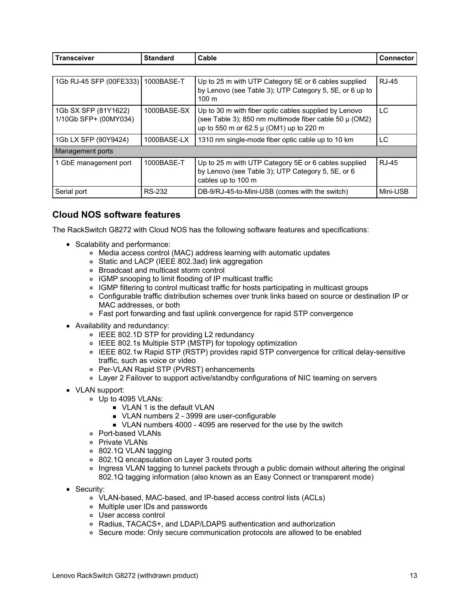| <b>Transceiver</b>                            | <b>Standard</b> | Cable                                                                                                                                                      | <b>Connector</b> |
|-----------------------------------------------|-----------------|------------------------------------------------------------------------------------------------------------------------------------------------------------|------------------|
|                                               |                 |                                                                                                                                                            |                  |
| 1Gb RJ-45 SFP (00FE333)   1000BASE-T          |                 | Up to 25 m with UTP Category 5E or 6 cables supplied<br>by Lenovo (see Table 3); UTP Category 5, 5E, or 6 up to<br>$100 \text{ m}$                         | <b>RJ-45</b>     |
| 1Gb SX SFP (81Y1622)<br>1/10Gb SFP+ (00MY034) | 1000BASE-SX     | Up to 30 m with fiber optic cables supplied by Lenovo<br>(see Table 3); 850 nm multimode fiber cable 50 µ (OM2)<br>up to 550 m or 62.5 µ (OM1) up to 220 m | LC               |
| 1Gb LX SFP (90Y9424)                          | 1000BASE-LX     | 1310 nm single-mode fiber optic cable up to 10 km                                                                                                          | LC               |
| Management ports                              |                 |                                                                                                                                                            |                  |
| 1 GbE management port                         | 1000BASE-T      | Up to 25 m with UTP Category 5E or 6 cables supplied<br>by Lenovo (see Table 3); UTP Category 5, 5E, or 6<br>cables up to 100 m                            | <b>RJ-45</b>     |
| Serial port                                   | RS-232          | DB-9/RJ-45-to-Mini-USB (comes with the switch)                                                                                                             | Mini-USB         |

#### **Cloud NOS software features**

The RackSwitch G8272 with Cloud NOS has the following software features and specifications:

- Scalability and performance:
	- Media access control (MAC) address learning with automatic updates
	- Static and LACP (IEEE 802.3ad) link aggregation
	- Broadcast and multicast storm control
	- IGMP snooping to limit flooding of IP multicast traffic
	- IGMP filtering to control multicast traffic for hosts participating in multicast groups
	- Configurable traffic distribution schemes over trunk links based on source or destination IP or MAC addresses, or both
	- Fast port forwarding and fast uplink convergence for rapid STP convergence
- Availability and redundancy:
	- IEEE 802.1D STP for providing L2 redundancy
	- IEEE 802.1s Multiple STP (MSTP) for topology optimization
	- IEEE 802.1w Rapid STP (RSTP) provides rapid STP convergence for critical delay-sensitive traffic, such as voice or video
	- Per-VLAN Rapid STP (PVRST) enhancements
	- Layer 2 Failover to support active/standby configurations of NIC teaming on servers
- VLAN support:
	- Up to 4095 VLANs:
		- **VLAN 1 is the default VLAN**
		- ULAN numbers 2 3999 are user-configurable
		- ULAN numbers 4000 4095 are reserved for the use by the switch
	- Port-based VLANs
	- o Private VLANs
	- 802.1Q VLAN tagging
	- 802.1Q encapsulation on Layer 3 routed ports
	- o Ingress VLAN tagging to tunnel packets through a public domain without altering the original 802.1Q tagging information (also known as an Easy Connect or transparent mode)
- Security:
	- VLAN-based, MAC-based, and IP-based access control lists (ACLs)
	- Multiple user IDs and passwords
	- User access control
	- Radius, TACACS+, and LDAP/LDAPS authentication and authorization
	- o Secure mode: Only secure communication protocols are allowed to be enabled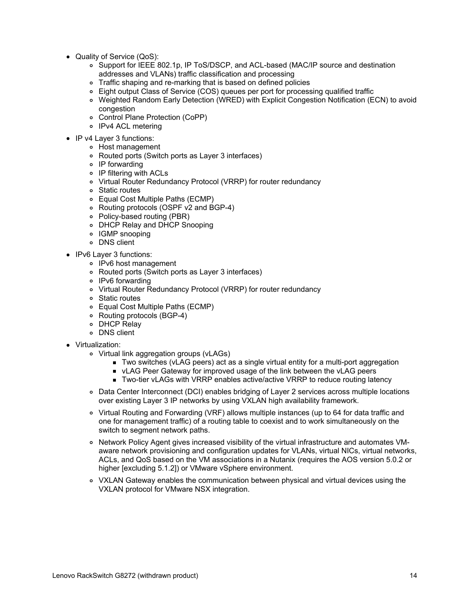- Quality of Service (QoS):
	- o Support for IEEE 802.1p, IP ToS/DSCP, and ACL-based (MAC/IP source and destination addresses and VLANs) traffic classification and processing
	- Traffic shaping and re-marking that is based on defined policies
	- Eight output Class of Service (COS) queues per port for processing qualified traffic
	- Weighted Random Early Detection (WRED) with Explicit Congestion Notification (ECN) to avoid congestion
	- Control Plane Protection (CoPP)
	- o IPv4 ACL metering
- IP v4 Layer 3 functions:
	- Host management
	- Routed ports (Switch ports as Layer 3 interfaces)
	- IP forwarding
	- IP filtering with ACLs
	- Virtual Router Redundancy Protocol (VRRP) for router redundancy
	- Static routes
	- Equal Cost Multiple Paths (ECMP)
	- Routing protocols (OSPF v2 and BGP-4)
	- Policy-based routing (PBR)
	- DHCP Relay and DHCP Snooping
	- IGMP snooping
	- DNS client
- IPv6 Layer 3 functions:
	- IPv6 host management
	- Routed ports (Switch ports as Layer 3 interfaces)
	- o IPv6 forwarding
	- Virtual Router Redundancy Protocol (VRRP) for router redundancy
	- Static routes
	- Equal Cost Multiple Paths (ECMP)
	- Routing protocols (BGP-4)
	- DHCP Relay
	- DNS client
- Virtualization:
	- Virtual link aggregation groups (vLAGs)
		- Two switches (vLAG peers) act as a single virtual entity for a multi-port aggregation
		- **ULAG Peer Gateway for improved usage of the link between the vLAG peers**
		- Two-tier vLAGs with VRRP enables active/active VRRP to reduce routing latency
	- Data Center Interconnect (DCI) enables bridging of Layer 2 services across multiple locations over existing Layer 3 IP networks by using VXLAN high availability framework.
	- Virtual Routing and Forwarding (VRF) allows multiple instances (up to 64 for data traffic and one for management traffic) of a routing table to coexist and to work simultaneously on the switch to segment network paths.
	- o Network Policy Agent gives increased visibility of the virtual infrastructure and automates VMaware network provisioning and configuration updates for VLANs, virtual NICs, virtual networks, ACLs, and QoS based on the VM associations in a Nutanix (requires the AOS version 5.0.2 or higher [excluding 5.1.2]) or VMware vSphere environment.
	- VXLAN Gateway enables the communication between physical and virtual devices using the VXLAN protocol for VMware NSX integration.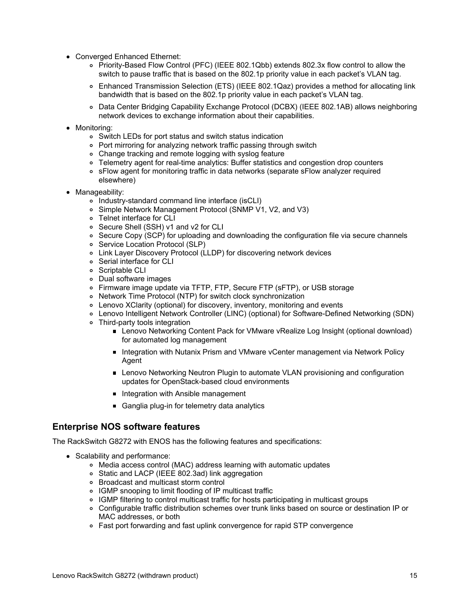- Converged Enhanced Ethernet:
	- Priority-Based Flow Control (PFC) (IEEE 802.1Qbb) extends 802.3x flow control to allow the switch to pause traffic that is based on the 802.1p priority value in each packet's VLAN tag.
	- Enhanced Transmission Selection (ETS) (IEEE 802.1Qaz) provides a method for allocating link bandwidth that is based on the 802.1p priority value in each packet's VLAN tag.
	- Data Center Bridging Capability Exchange Protocol (DCBX) (IEEE 802.1AB) allows neighboring network devices to exchange information about their capabilities.
- Monitoring:
	- Switch LEDs for port status and switch status indication
	- Port mirroring for analyzing network traffic passing through switch
	- Change tracking and remote logging with syslog feature
	- Telemetry agent for real-time analytics: Buffer statistics and congestion drop counters
	- sFlow agent for monitoring traffic in data networks (separate sFlow analyzer required elsewhere)
- Manageability:
	- o Industry-standard command line interface (isCLI)
	- Simple Network Management Protocol (SNMP V1, V2, and V3)
	- Telnet interface for CLI
	- Secure Shell (SSH) v1 and v2 for CLI
	- Secure Copy (SCP) for uploading and downloading the configuration file via secure channels
	- o Service Location Protocol (SLP)
	- Link Layer Discovery Protocol (LLDP) for discovering network devices
	- Serial interface for CLI
	- o Scriptable CLI
	- Dual software images
	- Firmware image update via TFTP, FTP, Secure FTP (sFTP), or USB storage
	- Network Time Protocol (NTP) for switch clock synchronization
	- Lenovo XClarity (optional) for discovery, inventory, monitoring and events
	- Lenovo Intelligent Network Controller (LINC) (optional) for Software-Defined Networking (SDN)
	- Third-party tools integration
		- Lenovo Networking Content Pack for VMware vRealize Log Insight (optional download) for automated log management
		- Integration with Nutanix Prism and VMware vCenter management via Network Policy Agent
		- **Lenovo Networking Neutron Plugin to automate VLAN provisioning and configuration** updates for OpenStack-based cloud environments
		- Integration with Ansible management
		- Ganglia plug-in for telemetry data analytics

#### **Enterprise NOS software features**

The RackSwitch G8272 with ENOS has the following features and specifications:

- Scalability and performance:
	- Media access control (MAC) address learning with automatic updates
	- Static and LACP (IEEE 802.3ad) link aggregation
	- Broadcast and multicast storm control
	- IGMP snooping to limit flooding of IP multicast traffic
	- IGMP filtering to control multicast traffic for hosts participating in multicast groups
	- Configurable traffic distribution schemes over trunk links based on source or destination IP or MAC addresses, or both
	- Fast port forwarding and fast uplink convergence for rapid STP convergence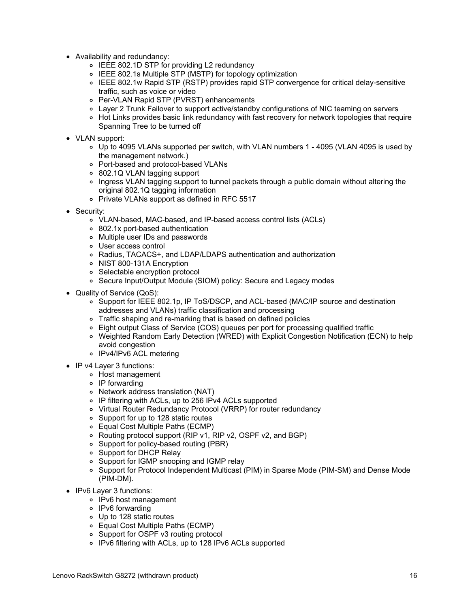- Availability and redundancy:
	- IEEE 802.1D STP for providing L2 redundancy
	- IEEE 802.1s Multiple STP (MSTP) for topology optimization
	- IEEE 802.1w Rapid STP (RSTP) provides rapid STP convergence for critical delay-sensitive traffic, such as voice or video
	- Per-VLAN Rapid STP (PVRST) enhancements
	- Layer 2 Trunk Failover to support active/standby configurations of NIC teaming on servers
	- o Hot Links provides basic link redundancy with fast recovery for network topologies that require Spanning Tree to be turned off
- VLAN support:
	- Up to 4095 VLANs supported per switch, with VLAN numbers 1 4095 (VLAN 4095 is used by the management network.)
	- Port-based and protocol-based VLANs
	- 802.1Q VLAN tagging support
	- Ingress VLAN tagging support to tunnel packets through a public domain without altering the original 802.1Q tagging information
	- o Private VLANs support as defined in RFC 5517
- Security:
	- VLAN-based, MAC-based, and IP-based access control lists (ACLs)
	- 802.1x port-based authentication
	- Multiple user IDs and passwords
	- User access control
	- Radius, TACACS+, and LDAP/LDAPS authentication and authorization
	- o NIST 800-131A Encryption
	- Selectable encryption protocol
	- Secure Input/Output Module (SIOM) policy: Secure and Legacy modes
- Quality of Service (QoS):
	- o Support for IEEE 802.1p, IP ToS/DSCP, and ACL-based (MAC/IP source and destination addresses and VLANs) traffic classification and processing
	- o Traffic shaping and re-marking that is based on defined policies
	- Eight output Class of Service (COS) queues per port for processing qualified traffic
	- Weighted Random Early Detection (WRED) with Explicit Congestion Notification (ECN) to help avoid congestion
	- IPv4/IPv6 ACL metering
- IP v4 Layer 3 functions:
	- Host management
	- o IP forwarding
	- Network address translation (NAT)
	- IP filtering with ACLs, up to 256 IPv4 ACLs supported
	- Virtual Router Redundancy Protocol (VRRP) for router redundancy
	- Support for up to 128 static routes
	- Equal Cost Multiple Paths (ECMP)
	- Routing protocol support (RIP v1, RIP v2, OSPF v2, and BGP)
	- Support for policy-based routing (PBR)
	- Support for DHCP Relay
	- Support for IGMP snooping and IGMP relay
	- Support for Protocol Independent Multicast (PIM) in Sparse Mode (PIM-SM) and Dense Mode (PIM-DM).
- IPv6 Layer 3 functions:
	- IPv6 host management
	- IPv6 forwarding
	- Up to 128 static routes
	- Equal Cost Multiple Paths (ECMP)
	- Support for OSPF v3 routing protocol
	- IPv6 filtering with ACLs, up to 128 IPv6 ACLs supported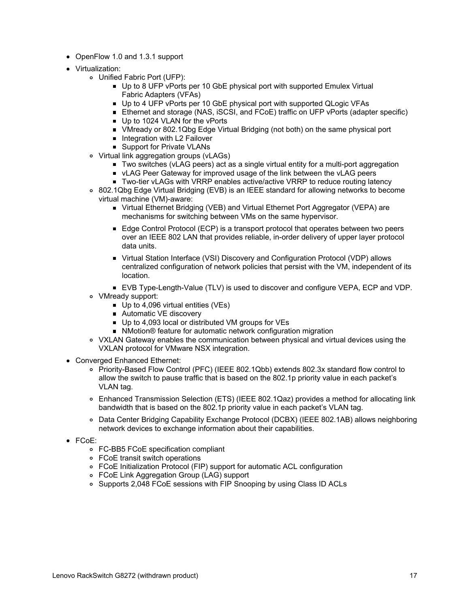- OpenFlow 1.0 and 1.3.1 support
- Virtualization:
	- Unified Fabric Port (UFP):
		- Up to 8 UFP vPorts per 10 GbE physical port with supported Emulex Virtual Fabric Adapters (VFAs)
		- Up to 4 UFP vPorts per 10 GbE physical port with supported QLogic VFAs
		- Ethernet and storage (NAS, iSCSI, and FCoE) traffic on UFP vPorts (adapter specific)
		- Up to 1024 VLAN for the vPorts
		- VMready or 802.1Qbg Edge Virtual Bridging (not both) on the same physical port
		- **Integration with L2 Failover**
		- **Support for Private VLANs**
	- Virtual link aggregation groups (vLAGs)
		- Two switches (vLAG peers) act as a single virtual entity for a multi-port aggregation
		- **ULAG Peer Gateway for improved usage of the link between the vLAG peers**
		- Two-tier vLAGs with VRRP enables active/active VRRP to reduce routing latency
	- 802.1Qbg Edge Virtual Bridging (EVB) is an IEEE standard for allowing networks to become virtual machine (VM)-aware:
		- Virtual Ethernet Bridging (VEB) and Virtual Ethernet Port Aggregator (VEPA) are mechanisms for switching between VMs on the same hypervisor.
		- Edge Control Protocol (ECP) is a transport protocol that operates between two peers over an IEEE 802 LAN that provides reliable, in-order delivery of upper layer protocol data units.
		- Virtual Station Interface (VSI) Discovery and Configuration Protocol (VDP) allows centralized configuration of network policies that persist with the VM, independent of its location.
		- EVB Type-Length-Value (TLV) is used to discover and configure VEPA, ECP and VDP.
	- VMready support:
		- Up to 4,096 virtual entities (VEs)
		- Automatic VE discovery
		- Up to 4,093 local or distributed VM groups for VEs
		- NMotion<sup>®</sup> feature for automatic network configuration migration
	- VXLAN Gateway enables the communication between physical and virtual devices using the VXLAN protocol for VMware NSX integration.
- Converged Enhanced Ethernet:
	- Priority-Based Flow Control (PFC) (IEEE 802.1Qbb) extends 802.3x standard flow control to allow the switch to pause traffic that is based on the 802.1p priority value in each packet's VLAN tag.
	- Enhanced Transmission Selection (ETS) (IEEE 802.1Qaz) provides a method for allocating link bandwidth that is based on the 802.1p priority value in each packet's VLAN tag.
	- Data Center Bridging Capability Exchange Protocol (DCBX) (IEEE 802.1AB) allows neighboring network devices to exchange information about their capabilities.
- FCoE:
	- FC-BB5 FCoE specification compliant
	- FCoE transit switch operations
	- FCoE Initialization Protocol (FIP) support for automatic ACL configuration
	- FCoE Link Aggregation Group (LAG) support
	- o Supports 2,048 FCoE sessions with FIP Snooping by using Class ID ACLs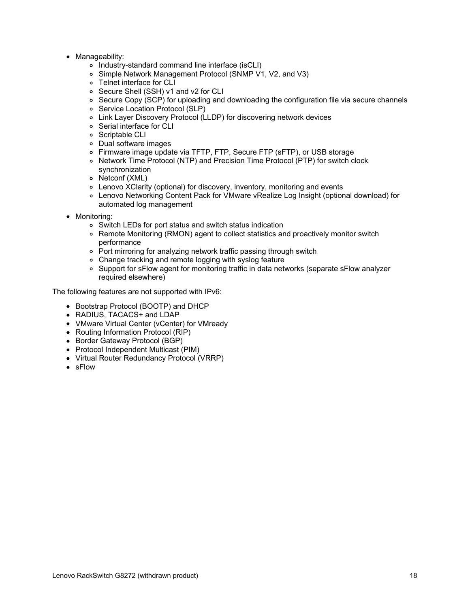- Manageability:
	- Industry-standard command line interface (isCLI)
	- Simple Network Management Protocol (SNMP V1, V2, and V3)
	- Telnet interface for CLI
	- Secure Shell (SSH) v1 and v2 for CLI
	- o Secure Copy (SCP) for uploading and downloading the configuration file via secure channels
	- o Service Location Protocol (SLP)
	- Link Layer Discovery Protocol (LLDP) for discovering network devices
	- Serial interface for CLI
	- o Scriptable CLI
	- Dual software images
	- Firmware image update via TFTP, FTP, Secure FTP (sFTP), or USB storage
	- Network Time Protocol (NTP) and Precision Time Protocol (PTP) for switch clock synchronization
	- Netconf (XML)
	- Lenovo XClarity (optional) for discovery, inventory, monitoring and events
	- Lenovo Networking Content Pack for VMware vRealize Log Insight (optional download) for automated log management
- Monitoring:
	- Switch LEDs for port status and switch status indication
	- Remote Monitoring (RMON) agent to collect statistics and proactively monitor switch performance
	- Port mirroring for analyzing network traffic passing through switch
	- Change tracking and remote logging with syslog feature
	- Support for sFlow agent for monitoring traffic in data networks (separate sFlow analyzer required elsewhere)

The following features are not supported with IPv6:

- Bootstrap Protocol (BOOTP) and DHCP
- RADIUS, TACACS+ and LDAP
- VMware Virtual Center (vCenter) for VMready
- Routing Information Protocol (RIP)
- Border Gateway Protocol (BGP)
- Protocol Independent Multicast (PIM)
- Virtual Router Redundancy Protocol (VRRP)
- sFlow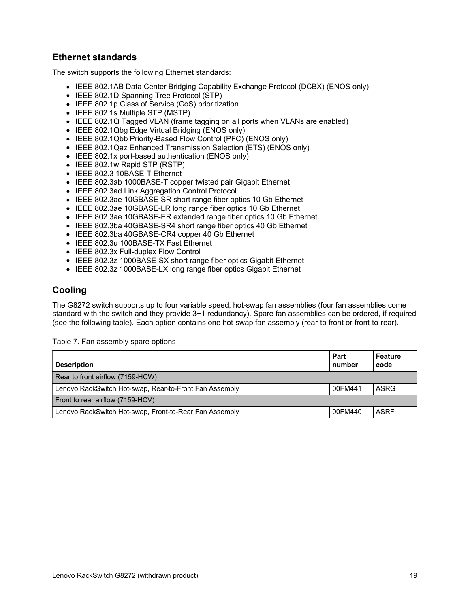## **Ethernet standards**

The switch supports the following Ethernet standards:

- IEEE 802.1AB Data Center Bridging Capability Exchange Protocol (DCBX) (ENOS only)
- IEEE 802.1D Spanning Tree Protocol (STP)
- IEEE 802.1p Class of Service (CoS) prioritization
- IEEE 802.1s Multiple STP (MSTP)
- IEEE 802.1Q Tagged VLAN (frame tagging on all ports when VLANs are enabled)
- IEEE 802.1Qbg Edge Virtual Bridging (ENOS only)
- IEEE 802.1Qbb Priority-Based Flow Control (PFC) (ENOS only)
- IEEE 802.1Qaz Enhanced Transmission Selection (ETS) (ENOS only)
- IEEE 802.1x port-based authentication (ENOS only)
- IEEE 802.1w Rapid STP (RSTP)
- IEEE 802.3 10BASE-T Ethernet
- IEEE 802.3ab 1000BASE-T copper twisted pair Gigabit Ethernet
- IEEE 802.3ad Link Aggregation Control Protocol
- IEEE 802.3ae 10GBASE-SR short range fiber optics 10 Gb Ethernet
- IEEE 802.3ae 10GBASE-LR long range fiber optics 10 Gb Ethernet
- IEEE 802.3ae 10GBASE-ER extended range fiber optics 10 Gb Ethernet
- IEEE 802.3ba 40GBASE-SR4 short range fiber optics 40 Gb Ethernet
- IEEE 802.3ba 40GBASE-CR4 copper 40 Gb Ethernet
- IEEE 802.3u 100BASE-TX Fast Ethernet
- IEEE 802.3x Full-duplex Flow Control
- IEEE 802.3z 1000BASE-SX short range fiber optics Gigabit Ethernet
- IEEE 802.3z 1000BASE-LX long range fiber optics Gigabit Ethernet

#### **Cooling**

The G8272 switch supports up to four variable speed, hot-swap fan assemblies (four fan assemblies come standard with the switch and they provide 3+1 redundancy). Spare fan assemblies can be ordered, if required (see the following table). Each option contains one hot-swap fan assembly (rear-to front or front-to-rear).

Table 7. Fan assembly spare options

| <b>Description</b>                                     | Part<br>number | Feature<br>code |
|--------------------------------------------------------|----------------|-----------------|
| Rear to front airflow (7159-HCW)                       |                |                 |
| Lenovo RackSwitch Hot-swap, Rear-to-Front Fan Assembly | 00FM441        | ASRG            |
| Front to rear airflow (7159-HCV)                       |                |                 |
| Lenovo RackSwitch Hot-swap, Front-to-Rear Fan Assembly | 00FM440        | <b>ASRF</b>     |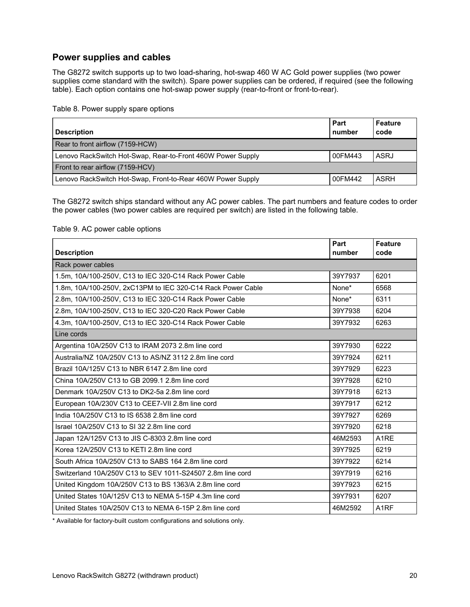## **Power supplies and cables**

The G8272 switch supports up to two load-sharing, hot-swap 460 W AC Gold power supplies (two power supplies come standard with the switch). Spare power supplies can be ordered, if required (see the following table). Each option contains one hot-swap power supply (rear-to-front or front-to-rear).

Table 8. Power supply spare options

| <b>Description</b>                                          | Part<br>number | Feature<br>code |
|-------------------------------------------------------------|----------------|-----------------|
| Rear to front airflow (7159-HCW)                            |                |                 |
| Lenovo RackSwitch Hot-Swap, Rear-to-Front 460W Power Supply | 00FM443        | ASRJ            |
| Front to rear airflow (7159-HCV)                            |                |                 |
| Lenovo RackSwitch Hot-Swap, Front-to-Rear 460W Power Supply | 00FM442        | <b>ASRH</b>     |

The G8272 switch ships standard without any AC power cables. The part numbers and feature codes to order the power cables (two power cables are required per switch) are listed in the following table.

#### Table 9. AC power cable options

| <b>Description</b>                                          | Part<br>number | <b>Feature</b><br>code |
|-------------------------------------------------------------|----------------|------------------------|
| Rack power cables                                           |                |                        |
| 1.5m, 10A/100-250V, C13 to IEC 320-C14 Rack Power Cable     | 39Y7937        | 6201                   |
| 1.8m, 10A/100-250V, 2xC13PM to IEC 320-C14 Rack Power Cable | None*          | 6568                   |
| 2.8m, 10A/100-250V, C13 to IEC 320-C14 Rack Power Cable     | None*          | 6311                   |
| 2.8m, 10A/100-250V, C13 to IEC 320-C20 Rack Power Cable     | 39Y7938        | 6204                   |
| 4.3m, 10A/100-250V, C13 to IEC 320-C14 Rack Power Cable     | 39Y7932        | 6263                   |
| Line cords                                                  |                |                        |
| Argentina 10A/250V C13 to IRAM 2073 2.8m line cord          | 39Y7930        | 6222                   |
| Australia/NZ 10A/250V C13 to AS/NZ 3112 2.8m line cord      | 39Y7924        | 6211                   |
| Brazil 10A/125V C13 to NBR 6147 2.8m line cord              | 39Y7929        | 6223                   |
| China 10A/250V C13 to GB 2099.1 2.8m line cord              | 39Y7928        | 6210                   |
| Denmark 10A/250V C13 to DK2-5a 2.8m line cord               | 39Y7918        | 6213                   |
| European 10A/230V C13 to CEE7-VII 2.8m line cord            | 39Y7917        | 6212                   |
| India 10A/250V C13 to IS 6538 2.8m line cord                | 39Y7927        | 6269                   |
| Israel 10A/250V C13 to SI 32 2.8m line cord                 | 39Y7920        | 6218                   |
| Japan 12A/125V C13 to JIS C-8303 2.8m line cord             | 46M2593        | A <sub>1</sub> RE      |
| Korea 12A/250V C13 to KETI 2.8m line cord                   | 39Y7925        | 6219                   |
| South Africa 10A/250V C13 to SABS 164 2.8m line cord        | 39Y7922        | 6214                   |
| Switzerland 10A/250V C13 to SEV 1011-S24507 2.8m line cord  | 39Y7919        | 6216                   |
| United Kingdom 10A/250V C13 to BS 1363/A 2.8m line cord     | 39Y7923        | 6215                   |
| United States 10A/125V C13 to NEMA 5-15P 4.3m line cord     | 39Y7931        | 6207                   |
| United States 10A/250V C13 to NEMA 6-15P 2.8m line cord     | 46M2592        | A <sub>1</sub> RF      |

\* Available for factory-built custom configurations and solutions only.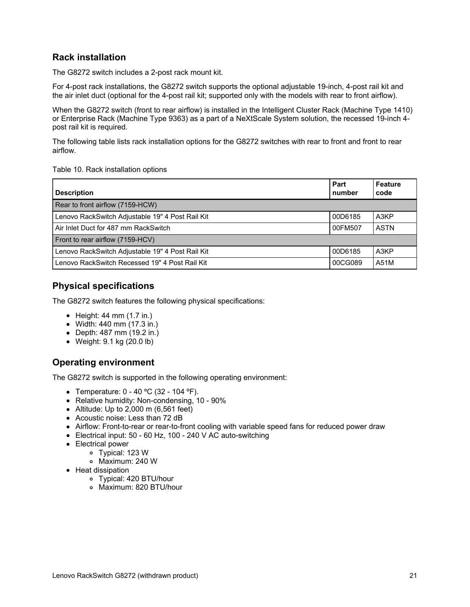#### **Rack installation**

The G8272 switch includes a 2-post rack mount kit.

For 4-post rack installations, the G8272 switch supports the optional adjustable 19-inch, 4-post rail kit and the air inlet duct (optional for the 4-post rail kit; supported only with the models with rear to front airflow).

When the G8272 switch (front to rear airflow) is installed in the Intelligent Cluster Rack (Machine Type 1410) or Enterprise Rack (Machine Type 9363) as a part of a NeXtScale System solution, the recessed 19-inch 4 post rail kit is required.

The following table lists rack installation options for the G8272 switches with rear to front and front to rear airflow.

Table 10. Rack installation options

| <b>Description</b>                               | Part<br>number | <b>Feature</b><br>code |
|--------------------------------------------------|----------------|------------------------|
| Rear to front airflow (7159-HCW)                 |                |                        |
| Lenovo RackSwitch Adjustable 19" 4 Post Rail Kit | 00D6185        | A3KP                   |
| Air Inlet Duct for 487 mm RackSwitch             | 00FM507        | <b>ASTN</b>            |
| Front to rear airflow (7159-HCV)                 |                |                        |
| Lenovo RackSwitch Adjustable 19" 4 Post Rail Kit | 00D6185        | A3KP                   |
| Lenovo RackSwitch Recessed 19" 4 Post Rail Kit   | 00CG089        | A51M                   |

#### **Physical specifications**

The G8272 switch features the following physical specifications:

- $\bullet$  Height: 44 mm (1.7 in.)
- Width: 440 mm (17.3 in.)
- Depth: 487 mm (19.2 in.)
- Weight: 9.1 kg (20.0 lb)

#### **Operating environment**

The G8272 switch is supported in the following operating environment:

- Temperature: 0 40 ºC (32 104 ºF).
- Relative humidity: Non-condensing, 10 90%
- $\bullet$  Altitude: Up to 2,000 m (6,561 feet)
- Acoustic noise: Less than 72 dB
- Airflow: Front-to-rear or rear-to-front cooling with variable speed fans for reduced power draw
- Electrical input: 50 60 Hz, 100 240 V AC auto-switching
- Electrical power
	- Typical: 123 W
		- Maximum: 240 W
- Heat dissipation
	- Typical: 420 BTU/hour
	- Maximum: 820 BTU/hour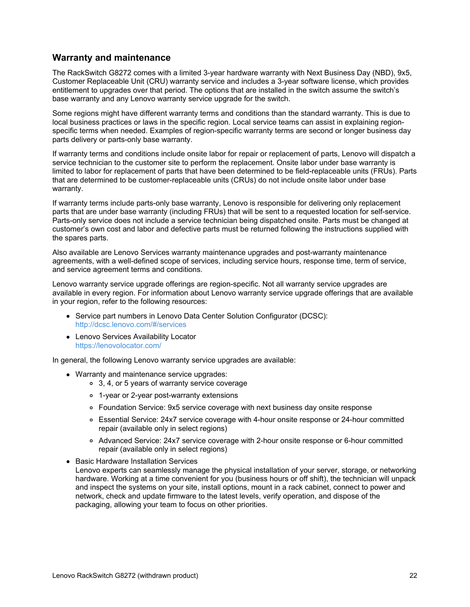#### **Warranty and maintenance**

The RackSwitch G8272 comes with a limited 3-year hardware warranty with Next Business Day (NBD), 9x5, Customer Replaceable Unit (CRU) warranty service and includes a 3-year software license, which provides entitlement to upgrades over that period. The options that are installed in the switch assume the switch's base warranty and any Lenovo warranty service upgrade for the switch.

Some regions might have different warranty terms and conditions than the standard warranty. This is due to local business practices or laws in the specific region. Local service teams can assist in explaining regionspecific terms when needed. Examples of region-specific warranty terms are second or longer business day parts delivery or parts-only base warranty.

If warranty terms and conditions include onsite labor for repair or replacement of parts, Lenovo will dispatch a service technician to the customer site to perform the replacement. Onsite labor under base warranty is limited to labor for replacement of parts that have been determined to be field-replaceable units (FRUs). Parts that are determined to be customer-replaceable units (CRUs) do not include onsite labor under base warranty.

If warranty terms include parts-only base warranty, Lenovo is responsible for delivering only replacement parts that are under base warranty (including FRUs) that will be sent to a requested location for self-service. Parts-only service does not include a service technician being dispatched onsite. Parts must be changed at customer's own cost and labor and defective parts must be returned following the instructions supplied with the spares parts.

Also available are Lenovo Services warranty maintenance upgrades and post-warranty maintenance agreements, with a well-defined scope of services, including service hours, response time, term of service, and service agreement terms and conditions.

Lenovo warranty service upgrade offerings are region-specific. Not all warranty service upgrades are available in every region. For information about Lenovo warranty service upgrade offerings that are available in your region, refer to the following resources:

- Service part numbers in Lenovo Data Center Solution Configurator (DCSC): <http://dcsc.lenovo.com/#/services>
- Lenovo Services Availability Locator <https://lenovolocator.com/>

In general, the following Lenovo warranty service upgrades are available:

- Warranty and maintenance service upgrades:
	- 3, 4, or 5 years of warranty service coverage
	- 1-year or 2-year post-warranty extensions
	- Foundation Service: 9x5 service coverage with next business day onsite response
	- Essential Service: 24x7 service coverage with 4-hour onsite response or 24-hour committed repair (available only in select regions)
	- Advanced Service: 24x7 service coverage with 2-hour onsite response or 6-hour committed repair (available only in select regions)
- Basic Hardware Installation Services
- Lenovo experts can seamlessly manage the physical installation of your server, storage, or networking hardware. Working at a time convenient for you (business hours or off shift), the technician will unpack and inspect the systems on your site, install options, mount in a rack cabinet, connect to power and network, check and update firmware to the latest levels, verify operation, and dispose of the packaging, allowing your team to focus on other priorities.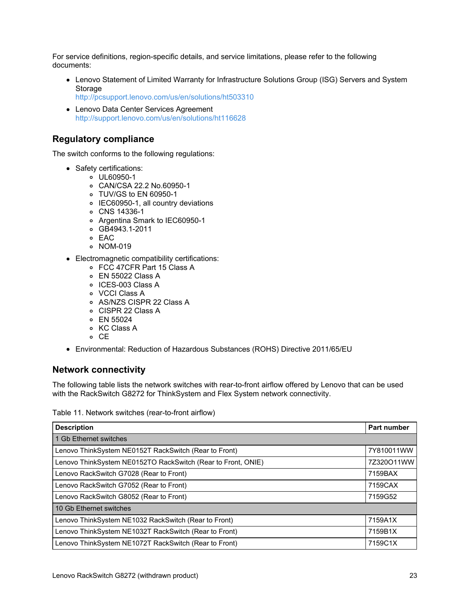For service definitions, region-specific details, and service limitations, please refer to the following documents:

Lenovo Statement of Limited Warranty for Infrastructure Solutions Group (ISG) Servers and System **Storage** 

<http://pcsupport.lenovo.com/us/en/solutions/ht503310>

Lenovo Data Center Services Agreement <http://support.lenovo.com/us/en/solutions/ht116628>

## **Regulatory compliance**

The switch conforms to the following regulations:

- Safety certifications:
	- UL60950-1
	- CAN/CSA 22.2 No.60950-1
	- TUV/GS to EN 60950-1
	- IEC60950-1, all country deviations
	- CNS 14336-1
	- Argentina Smark to IEC60950-1
	- GB4943.1-2011
	- o FAC
	- NOM-019
- Electromagnetic compatibility certifications:
	- FCC 47CFR Part 15 Class A
	- EN 55022 Class A
	- o ICES-003 Class A
	- VCCI Class A
	- AS/NZS CISPR 22 Class A
	- CISPR 22 Class A
	- EN 55024
	- o KC Class A
	- o CE
- Environmental: Reduction of Hazardous Substances (ROHS) Directive 2011/65/EU

#### **Network connectivity**

The following table lists the network switches with rear-to-front airflow offered by Lenovo that can be used with the RackSwitch G8272 for ThinkSystem and Flex System network connectivity.

Table 11. Network switches (rear-to-front airflow)

| <b>Description</b>                                           | <b>Part number</b> |
|--------------------------------------------------------------|--------------------|
| 1 Gb Ethernet switches                                       |                    |
| Lenovo ThinkSystem NE0152T RackSwitch (Rear to Front)        | 7Y810011WW         |
| Lenovo ThinkSystem NE0152TO RackSwitch (Rear to Front, ONIE) | 7Z320O11WW         |
| Lenovo RackSwitch G7028 (Rear to Front)                      | 7159BAX            |
| Lenovo RackSwitch G7052 (Rear to Front)                      | 7159CAX            |
| Lenovo RackSwitch G8052 (Rear to Front)                      | 7159G52            |
| 10 Gb Ethernet switches                                      |                    |
| Lenovo ThinkSystem NE1032 RackSwitch (Rear to Front)         | 7159A1X            |
| Lenovo ThinkSystem NE1032T RackSwitch (Rear to Front)        | 7159B1X            |
| Lenovo ThinkSystem NE1072T RackSwitch (Rear to Front)        | 7159C1X            |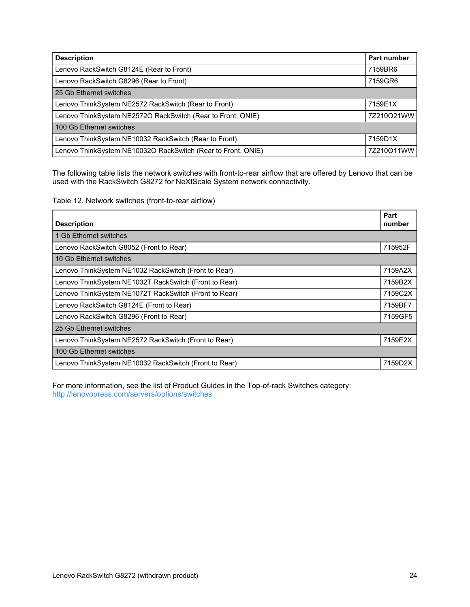| <b>Description</b>                                           | <b>Part number</b> |
|--------------------------------------------------------------|--------------------|
| Lenovo RackSwitch G8124E (Rear to Front)                     | 7159BR6            |
| Lenovo RackSwitch G8296 (Rear to Front)                      | 7159GR6            |
| 25 Gb Ethernet switches                                      |                    |
| Lenovo ThinkSystem NE2572 RackSwitch (Rear to Front)         | 7159E1X            |
| Lenovo ThinkSystem NE2572O RackSwitch (Rear to Front, ONIE)  | 7Z210O21WW         |
| 100 Gb Ethernet switches                                     |                    |
| Lenovo ThinkSystem NE10032 RackSwitch (Rear to Front)        | 7159D1X            |
| Lenovo ThinkSystem NE10032O RackSwitch (Rear to Front, ONIE) | 7Z210O11WW         |

The following table lists the network switches with front-to-rear airflow that are offered by Lenovo that can be used with the RackSwitch G8272 for NeXtScale System network connectivity.

Table 12. Network switches (front-to-rear airflow)

| <b>Description</b>                                    | Part<br>number |
|-------------------------------------------------------|----------------|
| 1 Gb Ethernet switches                                |                |
| Lenovo RackSwitch G8052 (Front to Rear)               | 715952F        |
| 10 Gb Ethernet switches                               |                |
| Lenovo ThinkSystem NE1032 RackSwitch (Front to Rear)  | 7159A2X        |
| Lenovo ThinkSystem NE1032T RackSwitch (Front to Rear) | 7159B2X        |
| Lenovo ThinkSystem NE1072T RackSwitch (Front to Rear) | 7159C2X        |
| Lenovo RackSwitch G8124E (Front to Rear)              | 7159BF7        |
| Lenovo RackSwitch G8296 (Front to Rear)               | 7159GF5        |
| 25 Gb Ethernet switches                               |                |
| Lenovo ThinkSystem NE2572 RackSwitch (Front to Rear)  | 7159E2X        |
| 100 Gb Ethernet switches                              |                |
| Lenovo ThinkSystem NE10032 RackSwitch (Front to Rear) | 7159D2X        |

For more information, see the list of Product Guides in the Top-of-rack Switches category: <http://lenovopress.com/servers/options/switches>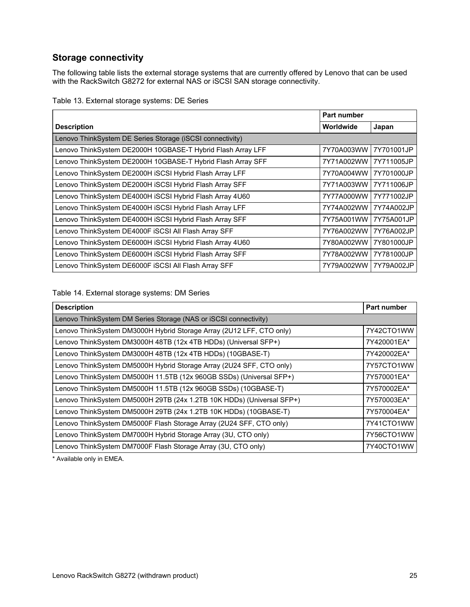## **Storage connectivity**

The following table lists the external storage systems that are currently offered by Lenovo that can be used with the RackSwitch G8272 for external NAS or iSCSI SAN storage connectivity.

| Table 13. External storage systems: DE Series |  |
|-----------------------------------------------|--|
|-----------------------------------------------|--|

|                                                             | Part number           |            |
|-------------------------------------------------------------|-----------------------|------------|
| <b>Description</b>                                          | Worldwide             | Japan      |
| Lenovo ThinkSystem DE Series Storage (iSCSI connectivity)   |                       |            |
| Lenovo ThinkSystem DE2000H 10GBASE-T Hybrid Flash Array LFF | 7Y70A003WW            | 7Y701001JP |
| Lenovo ThinkSystem DE2000H 10GBASE-T Hybrid Flash Array SFF | 7Y71A002WW            | 7Y711005JP |
| Lenovo ThinkSystem DE2000H iSCSI Hybrid Flash Array LFF     | 7Y70A004WW            | 7Y701000JP |
| Lenovo ThinkSystem DE2000H iSCSI Hybrid Flash Array SFF     | 7Y71A003WW            | 7Y711006JP |
| Lenovo ThinkSystem DE4000H iSCSI Hybrid Flash Array 4U60    | 7Y77A000WW            | 7Y771002JP |
| Lenovo ThinkSystem DE4000H iSCSI Hybrid Flash Array LFF     | 7Y74A002WW 7Y74A002JP |            |
| Lenovo ThinkSystem DE4000H iSCSI Hybrid Flash Array SFF     | 7Y75A001WW            | 7Y75A001JP |
| Lenovo ThinkSystem DE4000F ISCSI All Flash Array SFF        | 7Y76A002WW            | 7Y76A002JP |
| Lenovo ThinkSystem DE6000H iSCSI Hybrid Flash Array 4U60    | 7Y80A002WW            | 7Y801000JP |
| Lenovo ThinkSystem DE6000H iSCSI Hybrid Flash Array SFF     | 7Y78A002WW            | 7Y781000JP |
| Lenovo ThinkSystem DE6000F ISCSI All Flash Array SFF        | 7Y79A002WW            | 7Y79A002JP |

#### Table 14. External storage systems: DM Series

| <b>Description</b>                                                    | Part number |
|-----------------------------------------------------------------------|-------------|
| Lenovo ThinkSystem DM Series Storage (NAS or iSCSI connectivity)      |             |
| Lenovo ThinkSystem DM3000H Hybrid Storage Array (2U12 LFF, CTO only)  | 7Y42CTO1WW  |
| Lenovo ThinkSystem DM3000H 48TB (12x 4TB HDDs) (Universal SFP+)       | 7Y420001EA* |
| Lenovo ThinkSystem DM3000H 48TB (12x 4TB HDDs) (10GBASE-T)            | 7Y420002EA* |
| Lenovo ThinkSystem DM5000H Hybrid Storage Array (2U24 SFF, CTO only)  | 7Y57CTO1WW  |
| Lenovo ThinkSystem DM5000H 11.5TB (12x 960GB SSDs) (Universal SFP+)   | 7Y570001EA* |
| Lenovo ThinkSystem DM5000H 11.5TB (12x 960GB SSDs) (10GBASE-T)        | 7Y570002EA* |
| Lenovo ThinkSystem DM5000H 29TB (24x 1.2TB 10K HDDs) (Universal SFP+) | 7Y570003EA* |
| Lenovo ThinkSystem DM5000H 29TB (24x 1.2TB 10K HDDs) (10GBASE-T)      | 7Y570004EA* |
| Lenovo ThinkSystem DM5000F Flash Storage Array (2U24 SFF, CTO only)   | 7Y41CTO1WW  |
| Lenovo ThinkSystem DM7000H Hybrid Storage Array (3U, CTO only)        | 7Y56CTO1WW  |
| Lenovo ThinkSystem DM7000F Flash Storage Array (3U, CTO only)         | 7Y40CTO1WW  |

\* Available only in EMEA.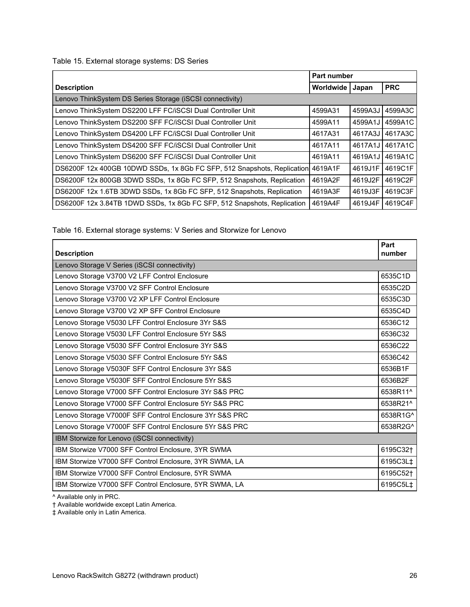Table 15. External storage systems: DS Series

|                                                                                 | Part number |         |            |
|---------------------------------------------------------------------------------|-------------|---------|------------|
| <b>Description</b>                                                              | Worldwide   | Japan   | <b>PRC</b> |
| Lenovo ThinkSystem DS Series Storage (iSCSI connectivity)                       |             |         |            |
| Lenovo ThinkSystem DS2200 LFF FC/iSCSI Dual Controller Unit                     | 4599A31     | 4599A3J | 4599A3C    |
| Lenovo ThinkSystem DS2200 SFF FC/iSCSI Dual Controller Unit                     | 4599A11     | 4599A1J | 4599A1C    |
| Lenovo ThinkSystem DS4200 LFF FC/iSCSI Dual Controller Unit                     | 4617A31     | 4617A3J | 4617A3C    |
| Lenovo ThinkSystem DS4200 SFF FC/iSCSI Dual Controller Unit                     | 4617A11     | 4617A1J | 4617A1C    |
| Lenovo ThinkSystem DS6200 SFF FC/iSCSI Dual Controller Unit                     | 4619A11     | 4619A1J | 4619A1C    |
| DS6200F 12x 400GB 10DWD SSDs, 1x 8Gb FC SFP, 512 Snapshots, Replication 4619A1F |             | 4619J1F | 4619C1F    |
| DS6200F 12x 800GB 3DWD SSDs, 1x 8Gb FC SFP, 512 Snapshots, Replication          | 4619A2F     | 4619J2F | 4619C2F    |
| DS6200F 12x 1.6TB 3DWD SSDs, 1x 8Gb FC SFP, 512 Snapshots, Replication          | 4619A3F     | 4619J3F | 4619C3F    |
| DS6200F 12x 3.84TB 1DWD SSDs, 1x 8Gb FC SFP, 512 Snapshots, Replication         | 4619A4F     | 4619J4F | 4619C4F    |

Table 16. External storage systems: V Series and Storwize for Lenovo

| <b>Description</b>                                      | Part<br>number       |
|---------------------------------------------------------|----------------------|
| Lenovo Storage V Series (iSCSI connectivity)            |                      |
| Lenovo Storage V3700 V2 LFF Control Enclosure           | 6535C1D              |
| Lenovo Storage V3700 V2 SFF Control Enclosure           | 6535C2D              |
| Lenovo Storage V3700 V2 XP LFF Control Enclosure        | 6535C3D              |
| Lenovo Storage V3700 V2 XP SFF Control Enclosure        | 6535C4D              |
| Lenovo Storage V5030 LFF Control Enclosure 3Yr S&S      | 6536C12              |
| Lenovo Storage V5030 LFF Control Enclosure 5Yr S&S      | 6536C32              |
| Lenovo Storage V5030 SFF Control Enclosure 3Yr S&S      | 6536C22              |
| Lenovo Storage V5030 SFF Control Enclosure 5Yr S&S      | 6536C42              |
| Lenovo Storage V5030F SFF Control Enclosure 3Yr S&S     | 6536B1F              |
| Lenovo Storage V5030F SFF Control Enclosure 5Yr S&S     | 6536B2F              |
| Lenovo Storage V7000 SFF Control Enclosure 3Yr S&S PRC  | 6538R11^             |
| Lenovo Storage V7000 SFF Control Enclosure 5Yr S&S PRC  | 6538R21^             |
| Lenovo Storage V7000F SFF Control Enclosure 3Yr S&S PRC | 6538R1G^             |
| Lenovo Storage V7000F SFF Control Enclosure 5Yr S&S PRC | 6538R2G^             |
| IBM Storwize for Lenovo (iSCSI connectivity)            |                      |
| IBM Storwize V7000 SFF Control Enclosure, 3YR SWMA      | 6195C32 <sup>+</sup> |
| IBM Storwize V7000 SFF Control Enclosure, 3YR SWMA, LA  | 6195C3L‡             |
| IBM Storwize V7000 SFF Control Enclosure, 5YR SWMA      | 6195C52†             |
| IBM Storwize V7000 SFF Control Enclosure, 5YR SWMA, LA  | 6195C5L‡             |

^ Available only in PRC.

† Available worldwide except Latin America.

‡ Available only in Latin America.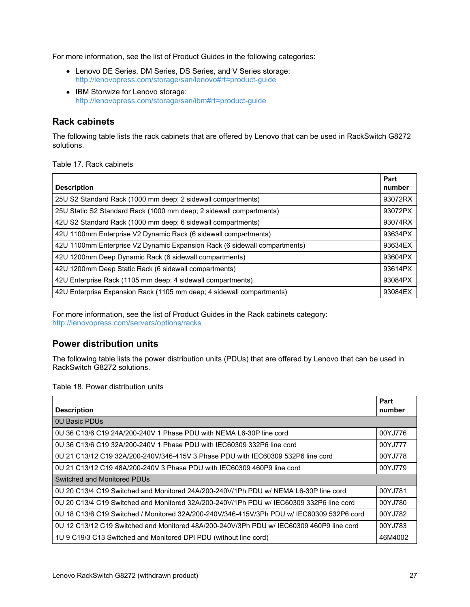For more information, see the list of Product Guides in the following categories:

- Lenovo DE Series, DM Series, DS Series, and V Series storage: <http://lenovopress.com/storage/san/lenovo#rt=product-guide>
- IBM Storwize for Lenovo storage: <http://lenovopress.com/storage/san/ibm#rt=product-guide>

#### **Rack cabinets**

The following table lists the rack cabinets that are offered by Lenovo that can be used in RackSwitch G8272 solutions.

Table 17. Rack cabinets

| <b>Description</b>                                                        | Part<br>number |
|---------------------------------------------------------------------------|----------------|
| 25U S2 Standard Rack (1000 mm deep; 2 sidewall compartments)              | 93072RX        |
| 25U Static S2 Standard Rack (1000 mm deep; 2 sidewall compartments)       | 93072PX        |
| 42U S2 Standard Rack (1000 mm deep; 6 sidewall compartments)              | 93074RX        |
| 42U 1100mm Enterprise V2 Dynamic Rack (6 sidewall compartments)           | 93634PX        |
| 42U 1100mm Enterprise V2 Dynamic Expansion Rack (6 sidewall compartments) | 93634EX        |
| 42U 1200mm Deep Dynamic Rack (6 sidewall compartments)                    | 93604PX        |
| 42U 1200mm Deep Static Rack (6 sidewall compartments)                     | 93614PX        |
| 42U Enterprise Rack (1105 mm deep; 4 sidewall compartments)               | 93084PX        |
| 42U Enterprise Expansion Rack (1105 mm deep; 4 sidewall compartments)     | 93084EX        |

For more information, see the list of Product Guides in the Rack cabinets category: <http://lenovopress.com/servers/options/racks>

#### **Power distribution units**

The following table lists the power distribution units (PDUs) that are offered by Lenovo that can be used in RackSwitch G8272 solutions.

Table 18. Power distribution units

| <b>Description</b>                                                                        | Part<br>number |  |
|-------------------------------------------------------------------------------------------|----------------|--|
| <b>0U Basic PDUs</b>                                                                      |                |  |
| 0U 36 C13/6 C19 24A/200-240V 1 Phase PDU with NEMA L6-30P line cord                       | 00YJ776        |  |
| 0U 36 C13/6 C19 32A/200-240V 1 Phase PDU with IEC60309 332P6 line cord                    | 00YJ777        |  |
| 0U 21 C13/12 C19 32A/200-240V/346-415V 3 Phase PDU with IEC60309 532P6 line cord          | 00YJ778        |  |
| 0U 21 C13/12 C19 48A/200-240V 3 Phase PDU with IEC60309 460P9 line cord                   | 00YJ779        |  |
| Switched and Monitored PDUs                                                               |                |  |
| 0U 20 C13/4 C19 Switched and Monitored 24A/200-240V/1Ph PDU w/ NEMA L6-30P line cord      | 00YJ781        |  |
| 0U 20 C13/4 C19 Switched and Monitored 32A/200-240V/1Ph PDU w/ IEC60309 332P6 line cord   | 00YJ780        |  |
| 0U 18 C13/6 C19 Switched / Monitored 32A/200-240V/346-415V/3Ph PDU w/ IEC60309 532P6 cord | 00YJ782        |  |
| 0U 12 C13/12 C19 Switched and Monitored 48A/200-240V/3Ph PDU w/ IEC60309 460P9 line cord  | 00YJ783        |  |
| 1U 9 C19/3 C13 Switched and Monitored DPI PDU (without line cord)                         | 46M4002        |  |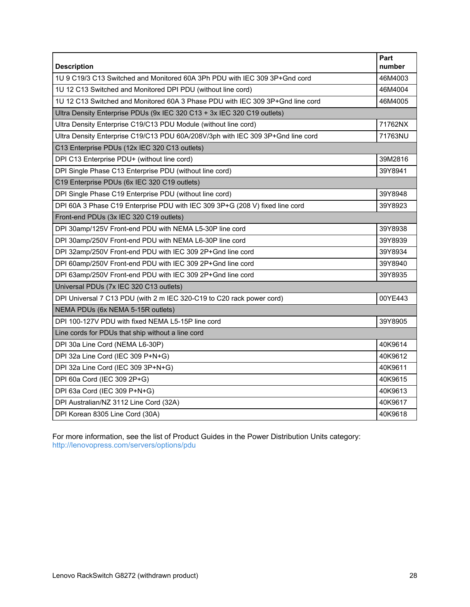| <b>Description</b>                                                              | Part<br>number |
|---------------------------------------------------------------------------------|----------------|
| 1U 9 C19/3 C13 Switched and Monitored 60A 3Ph PDU with IEC 309 3P+Gnd cord      | 46M4003        |
| 1U 12 C13 Switched and Monitored DPI PDU (without line cord)                    | 46M4004        |
| 1U 12 C13 Switched and Monitored 60A 3 Phase PDU with IEC 309 3P+Gnd line cord  | 46M4005        |
| Ultra Density Enterprise PDUs (9x IEC 320 C13 + 3x IEC 320 C19 outlets)         |                |
| Ultra Density Enterprise C19/C13 PDU Module (without line cord)                 | 71762NX        |
| Ultra Density Enterprise C19/C13 PDU 60A/208V/3ph with IEC 309 3P+Gnd line cord | 71763NU        |
| C13 Enterprise PDUs (12x IEC 320 C13 outlets)                                   |                |
| DPI C13 Enterprise PDU+ (without line cord)                                     | 39M2816        |
| DPI Single Phase C13 Enterprise PDU (without line cord)                         | 39Y8941        |
| C19 Enterprise PDUs (6x IEC 320 C19 outlets)                                    |                |
| DPI Single Phase C19 Enterprise PDU (without line cord)                         | 39Y8948        |
| DPI 60A 3 Phase C19 Enterprise PDU with IEC 309 3P+G (208 V) fixed line cord    | 39Y8923        |
| Front-end PDUs (3x IEC 320 C19 outlets)                                         |                |
| DPI 30amp/125V Front-end PDU with NEMA L5-30P line cord                         | 39Y8938        |
| DPI 30amp/250V Front-end PDU with NEMA L6-30P line cord                         | 39Y8939        |
| DPI 32amp/250V Front-end PDU with IEC 309 2P+Gnd line cord                      | 39Y8934        |
| DPI 60amp/250V Front-end PDU with IEC 309 2P+Gnd line cord                      | 39Y8940        |
| DPI 63amp/250V Front-end PDU with IEC 309 2P+Gnd line cord                      | 39Y8935        |
| Universal PDUs (7x IEC 320 C13 outlets)                                         |                |
| DPI Universal 7 C13 PDU (with 2 m IEC 320-C19 to C20 rack power cord)           | 00YE443        |
| NEMA PDUs (6x NEMA 5-15R outlets)                                               |                |
| DPI 100-127V PDU with fixed NEMA L5-15P line cord                               | 39Y8905        |
| Line cords for PDUs that ship without a line cord                               |                |
| DPI 30a Line Cord (NEMA L6-30P)                                                 | 40K9614        |
| DPI 32a Line Cord (IEC 309 P+N+G)                                               | 40K9612        |
| DPI 32a Line Cord (IEC 309 3P+N+G)                                              | 40K9611        |
| DPI 60a Cord (IEC 309 2P+G)                                                     | 40K9615        |
| DPI 63a Cord (IEC 309 P+N+G)                                                    | 40K9613        |
| DPI Australian/NZ 3112 Line Cord (32A)                                          | 40K9617        |
| DPI Korean 8305 Line Cord (30A)                                                 | 40K9618        |

For more information, see the list of Product Guides in the Power Distribution Units category: <http://lenovopress.com/servers/options/pdu>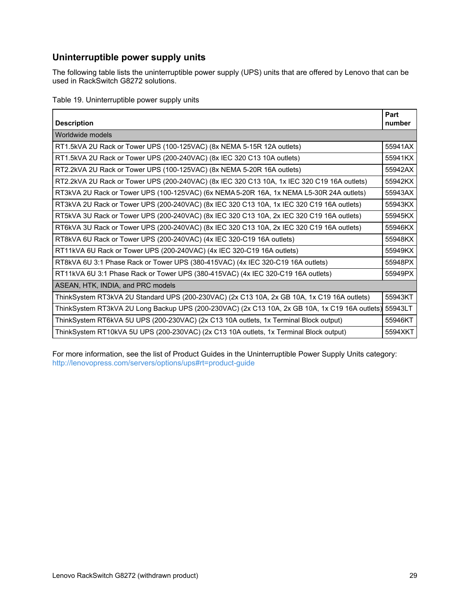## **Uninterruptible power supply units**

The following table lists the uninterruptible power supply (UPS) units that are offered by Lenovo that can be used in RackSwitch G8272 solutions.

Table 19. Uninterruptible power supply units

| <b>Description</b>                                                                                     | Part<br>number |
|--------------------------------------------------------------------------------------------------------|----------------|
| Worldwide models                                                                                       |                |
| RT1.5kVA 2U Rack or Tower UPS (100-125VAC) (8x NEMA 5-15R 12A outlets)                                 | 55941AX        |
| RT1.5kVA 2U Rack or Tower UPS (200-240VAC) (8x IEC 320 C13 10A outlets)                                | 55941KX        |
| RT2.2kVA 2U Rack or Tower UPS (100-125VAC) (8x NEMA 5-20R 16A outlets)                                 | 55942AX        |
| RT2.2kVA 2U Rack or Tower UPS (200-240VAC) (8x IEC 320 C13 10A, 1x IEC 320 C19 16A outlets)            | 55942KX        |
| RT3kVA 2U Rack or Tower UPS (100-125VAC) (6x NEMA 5-20R 16A, 1x NEMA L5-30R 24A outlets)               | 55943AX        |
| RT3kVA 2U Rack or Tower UPS (200-240VAC) (8x IEC 320 C13 10A, 1x IEC 320 C19 16A outlets)              | 55943KX        |
| RT5kVA 3U Rack or Tower UPS (200-240VAC) (8x IEC 320 C13 10A, 2x IEC 320 C19 16A outlets)              | 55945KX        |
| RT6kVA 3U Rack or Tower UPS (200-240VAC) (8x IEC 320 C13 10A, 2x IEC 320 C19 16A outlets)              | 55946KX        |
| RT8kVA 6U Rack or Tower UPS (200-240VAC) (4x IEC 320-C19 16A outlets)                                  | 55948KX        |
| RT11kVA 6U Rack or Tower UPS (200-240VAC) (4x IEC 320-C19 16A outlets)                                 | 55949KX        |
| RT8kVA 6U 3:1 Phase Rack or Tower UPS (380-415VAC) (4x IEC 320-C19 16A outlets)                        | 55948PX        |
| RT11kVA 6U 3:1 Phase Rack or Tower UPS (380-415VAC) (4x IEC 320-C19 16A outlets)                       | 55949PX        |
| ASEAN, HTK, INDIA, and PRC models                                                                      |                |
| ThinkSystem RT3kVA 2U Standard UPS (200-230VAC) (2x C13 10A, 2x GB 10A, 1x C19 16A outlets)            | 55943KT        |
| ThinkSystem RT3kVA 2U Long Backup UPS (200-230VAC) (2x C13 10A, 2x GB 10A, 1x C19 16A outlets) 55943LT |                |
| ThinkSystem RT6kVA 5U UPS (200-230VAC) (2x C13 10A outlets, 1x Terminal Block output)                  | 55946KT        |
| ThinkSystem RT10kVA 5U UPS (200-230VAC) (2x C13 10A outlets, 1x Terminal Block output)                 | 5594XKT        |

For more information, see the list of Product Guides in the Uninterruptible Power Supply Units category: <http://lenovopress.com/servers/options/ups#rt=product-guide>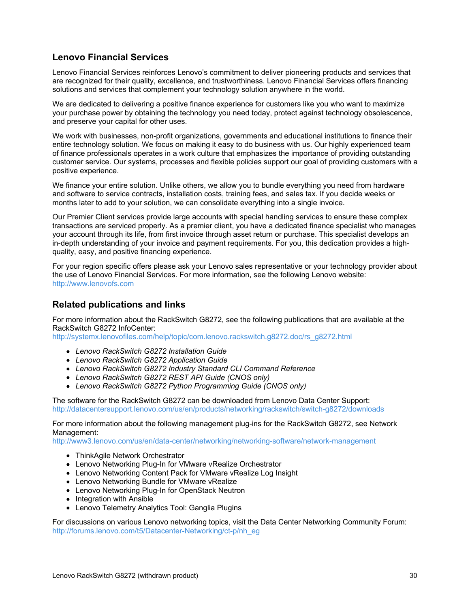## **Lenovo Financial Services**

Lenovo Financial Services reinforces Lenovo's commitment to deliver pioneering products and services that are recognized for their quality, excellence, and trustworthiness. Lenovo Financial Services offers financing solutions and services that complement your technology solution anywhere in the world.

We are dedicated to delivering a positive finance experience for customers like you who want to maximize your purchase power by obtaining the technology you need today, protect against technology obsolescence, and preserve your capital for other uses.

We work with businesses, non-profit organizations, governments and educational institutions to finance their entire technology solution. We focus on making it easy to do business with us. Our highly experienced team of finance professionals operates in a work culture that emphasizes the importance of providing outstanding customer service. Our systems, processes and flexible policies support our goal of providing customers with a positive experience.

We finance your entire solution. Unlike others, we allow you to bundle everything you need from hardware and software to service contracts, installation costs, training fees, and sales tax. If you decide weeks or months later to add to your solution, we can consolidate everything into a single invoice.

Our Premier Client services provide large accounts with special handling services to ensure these complex transactions are serviced properly. As a premier client, you have a dedicated finance specialist who manages your account through its life, from first invoice through asset return or purchase. This specialist develops an in-depth understanding of your invoice and payment requirements. For you, this dedication provides a highquality, easy, and positive financing experience.

For your region specific offers please ask your Lenovo sales representative or your technology provider about the use of Lenovo Financial Services. For more information, see the following Lenovo website: <http://www.lenovofs.com>

#### **Related publications and links**

For more information about the RackSwitch G8272, see the following publications that are available at the RackSwitch G8272 InfoCenter:

[http://systemx.lenovofiles.com/help/topic/com.lenovo.rackswitch.g8272.doc/rs\\_g8272.html](http://systemx.lenovofiles.com/help/topic/com.lenovo.rackswitch.g8272.doc/rs_g8272.html)

- *Lenovo RackSwitch G8272 Installation Guide*
- *Lenovo RackSwitch G8272 Application Guide*
- *Lenovo RackSwitch G8272 Industry Standard CLI Command Reference*
- *Lenovo RackSwitch G8272 REST API Guide (CNOS only)*
- *Lenovo RackSwitch G8272 Python Programming Guide (CNOS only)*

The software for the RackSwitch G8272 can be downloaded from Lenovo Data Center Support: <http://datacentersupport.lenovo.com/us/en/products/networking/rackswitch/switch-g8272/downloads>

For more information about the following management plug-ins for the RackSwitch G8272, see Network Management:

<http://www3.lenovo.com/us/en/data-center/networking/networking-software/network-management>

- ThinkAgile Network Orchestrator
- Lenovo Networking Plug-In for VMware vRealize Orchestrator
- Lenovo Networking Content Pack for VMware vRealize Log Insight
- Lenovo Networking Bundle for VMware vRealize
- Lenovo Networking Plug-In for OpenStack Neutron
- Integration with Ansible
- Lenovo Telemetry Analytics Tool: Ganglia Plugins

For discussions on various Lenovo networking topics, visit the Data Center Networking Community Forum: [http://forums.lenovo.com/t5/Datacenter-Networking/ct-p/nh\\_eg](http://forums.lenovo.com/t5/Datacenter-Networking/ct-p/nh_eg)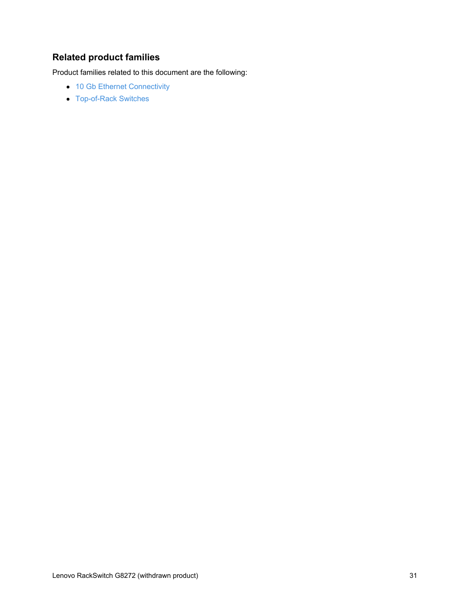## **Related product families**

Product families related to this document are the following:

- 10 Gb Ethernet [Connectivity](https://lenovopress.com/networking/tor/10gb)
- [Top-of-Rack](https://lenovopress.com/servers/options/switches) Switches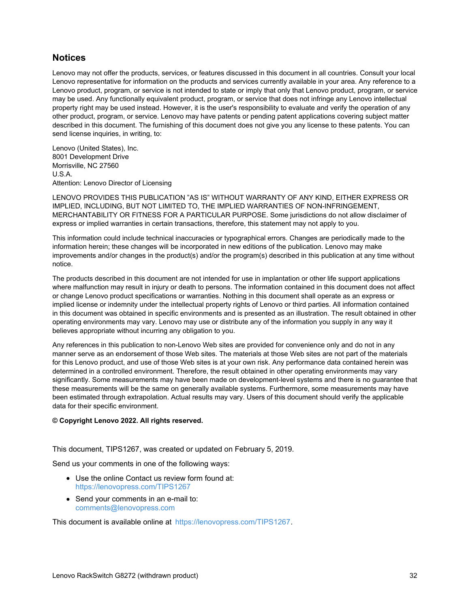#### **Notices**

Lenovo may not offer the products, services, or features discussed in this document in all countries. Consult your local Lenovo representative for information on the products and services currently available in your area. Any reference to a Lenovo product, program, or service is not intended to state or imply that only that Lenovo product, program, or service may be used. Any functionally equivalent product, program, or service that does not infringe any Lenovo intellectual property right may be used instead. However, it is the user's responsibility to evaluate and verify the operation of any other product, program, or service. Lenovo may have patents or pending patent applications covering subject matter described in this document. The furnishing of this document does not give you any license to these patents. You can send license inquiries, in writing, to:

Lenovo (United States), Inc. 8001 Development Drive Morrisville, NC 27560 U.S.A. Attention: Lenovo Director of Licensing

LENOVO PROVIDES THIS PUBLICATION "AS IS" WITHOUT WARRANTY OF ANY KIND, EITHER EXPRESS OR IMPLIED, INCLUDING, BUT NOT LIMITED TO, THE IMPLIED WARRANTIES OF NON-INFRINGEMENT, MERCHANTABILITY OR FITNESS FOR A PARTICULAR PURPOSE. Some jurisdictions do not allow disclaimer of express or implied warranties in certain transactions, therefore, this statement may not apply to you.

This information could include technical inaccuracies or typographical errors. Changes are periodically made to the information herein; these changes will be incorporated in new editions of the publication. Lenovo may make improvements and/or changes in the product(s) and/or the program(s) described in this publication at any time without notice.

The products described in this document are not intended for use in implantation or other life support applications where malfunction may result in injury or death to persons. The information contained in this document does not affect or change Lenovo product specifications or warranties. Nothing in this document shall operate as an express or implied license or indemnity under the intellectual property rights of Lenovo or third parties. All information contained in this document was obtained in specific environments and is presented as an illustration. The result obtained in other operating environments may vary. Lenovo may use or distribute any of the information you supply in any way it believes appropriate without incurring any obligation to you.

Any references in this publication to non-Lenovo Web sites are provided for convenience only and do not in any manner serve as an endorsement of those Web sites. The materials at those Web sites are not part of the materials for this Lenovo product, and use of those Web sites is at your own risk. Any performance data contained herein was determined in a controlled environment. Therefore, the result obtained in other operating environments may vary significantly. Some measurements may have been made on development-level systems and there is no guarantee that these measurements will be the same on generally available systems. Furthermore, some measurements may have been estimated through extrapolation. Actual results may vary. Users of this document should verify the applicable data for their specific environment.

#### **© Copyright Lenovo 2022. All rights reserved.**

This document, TIPS1267, was created or updated on February 5, 2019.

Send us your comments in one of the following ways:

- Use the online Contact us review form found at: <https://lenovopress.com/TIPS1267>
- Send your comments in an e-mail to: [comments@lenovopress.com](mailto:comments@lenovopress.com?subject=Feedback for TIPS1267)

This document is available online at <https://lenovopress.com/TIPS1267>.